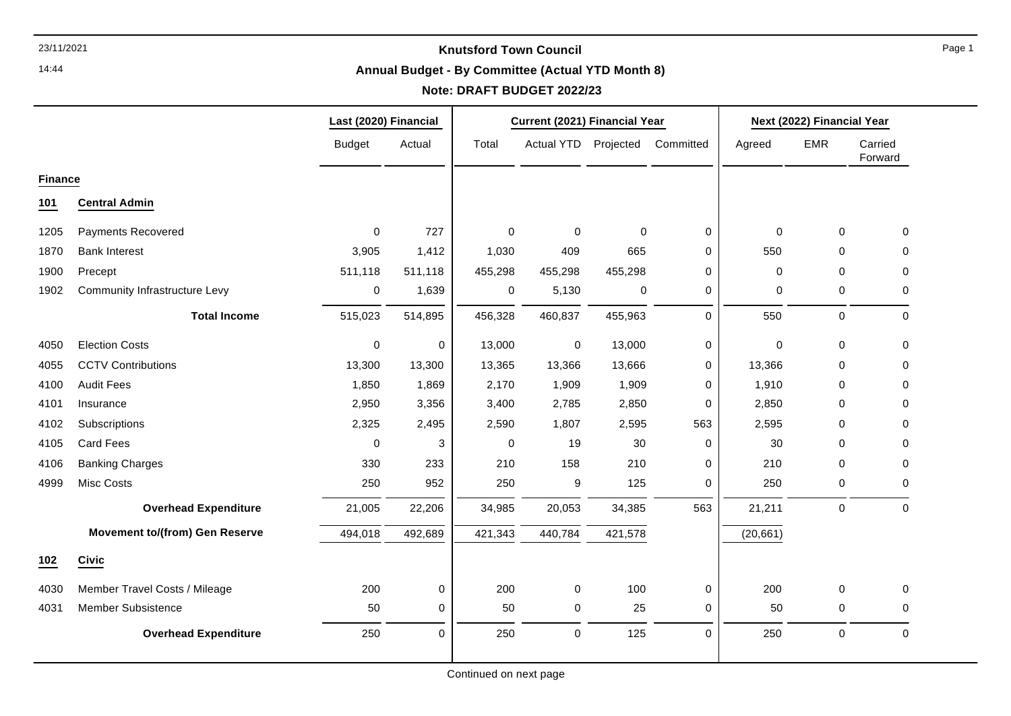14:44

#### **Annual Budget - By Committee (Actual YTD Month 8)**

# **Note: DRAFT BUDGET 2022/23**

|                |                                       | Last (2020) Financial |           | Current (2021) Financial Year |                   |             |             | Next (2022) Financial Year |              |                    |
|----------------|---------------------------------------|-----------------------|-----------|-------------------------------|-------------------|-------------|-------------|----------------------------|--------------|--------------------|
|                |                                       | <b>Budget</b>         | Actual    | Total                         | <b>Actual YTD</b> | Projected   | Committed   | Agreed                     | <b>EMR</b>   | Carried<br>Forward |
| <b>Finance</b> |                                       |                       |           |                               |                   |             |             |                            |              |                    |
| 101            | <b>Central Admin</b>                  |                       |           |                               |                   |             |             |                            |              |                    |
| 1205           | Payments Recovered                    | $\mathbf{0}$          | 727       | $\Omega$                      | $\mathbf 0$       | $\mathbf 0$ | $\mathbf 0$ | $\Omega$                   | $\mathbf{0}$ | $\mathbf 0$        |
| 1870           | <b>Bank Interest</b>                  | 3,905                 | 1,412     | 1,030                         | 409               | 665         | $\Omega$    | 550                        | 0            | 0                  |
| 1900           | Precept                               | 511,118               | 511,118   | 455,298                       | 455,298           | 455,298     | 0           | $\mathbf 0$                | 0            | 0                  |
| 1902           | <b>Community Infrastructure Levy</b>  | 0                     | 1,639     | 0                             | 5,130             | 0           | 0           | 0                          | 0            | 0                  |
|                | <b>Total Income</b>                   | 515,023               | 514,895   | 456,328                       | 460,837           | 455,963     | $\mathbf 0$ | 550                        | $\mathbf 0$  | $\mathbf 0$        |
| 4050           | <b>Election Costs</b>                 | $\pmb{0}$             | $\pmb{0}$ | 13,000                        | $\pmb{0}$         | 13,000      | 0           | $\mathbf 0$                | $\mathbf 0$  | 0                  |
| 4055           | <b>CCTV Contributions</b>             | 13,300                | 13,300    | 13,365                        | 13,366            | 13,666      | 0           | 13,366                     | $\mathbf 0$  | 0                  |
| 4100           | <b>Audit Fees</b>                     | 1,850                 | 1,869     | 2,170                         | 1,909             | 1,909       | 0           | 1,910                      | 0            | 0                  |
| 4101           | Insurance                             | 2,950                 | 3,356     | 3,400                         | 2,785             | 2,850       | 0           | 2,850                      | 0            | 0                  |
| 4102           | Subscriptions                         | 2,325                 | 2,495     | 2,590                         | 1,807             | 2,595       | 563         | 2,595                      | $\Omega$     | 0                  |
| 4105           | <b>Card Fees</b>                      | $\Omega$              | 3         | 0                             | 19                | 30          | 0           | 30                         | $\Omega$     | 0                  |
| 4106           | <b>Banking Charges</b>                | 330                   | 233       | 210                           | 158               | 210         | 0           | 210                        | $\mathbf 0$  | $\mathbf 0$        |
| 4999           | Misc Costs                            | 250                   | 952       | 250                           | 9                 | 125         | 0           | 250                        | 0            | 0                  |
|                | <b>Overhead Expenditure</b>           | 21,005                | 22,206    | 34,985                        | 20,053            | 34,385      | 563         | 21,211                     | $\mathbf 0$  | $\mathbf 0$        |
|                | <b>Movement to/(from) Gen Reserve</b> | 494,018               | 492,689   | 421,343                       | 440,784           | 421,578     |             | (20, 661)                  |              |                    |
| 102            | <b>Civic</b>                          |                       |           |                               |                   |             |             |                            |              |                    |
| 4030           | Member Travel Costs / Mileage         | 200                   | 0         | 200                           | $\pmb{0}$         | 100         | 0           | 200                        | $\mathbf 0$  | $\mathbf 0$        |
| 4031           | Member Subsistence                    | 50                    | 0         | 50                            | $\mathbf 0$       | 25          | 0           | 50                         | 0            | 0                  |
|                | <b>Overhead Expenditure</b>           | 250                   | $\Omega$  | 250                           | $\pmb{0}$         | 125         | $\Omega$    | 250                        | $\mathbf 0$  | $\Omega$           |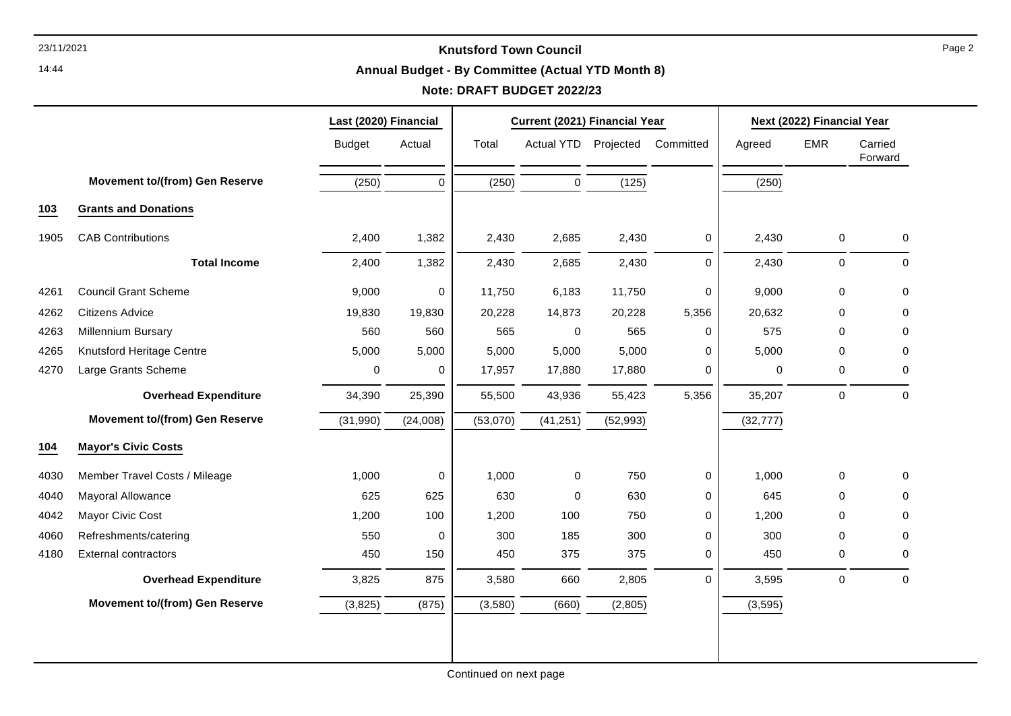# **Annual Budget - By Committee (Actual YTD Month 8)**

# **Note: DRAFT BUDGET 2022/23**

|      |                                       | Last (2020) Financial |             | Current (2021) Financial Year |                      |           |             | Next (2022) Financial Year |             |                    |
|------|---------------------------------------|-----------------------|-------------|-------------------------------|----------------------|-----------|-------------|----------------------------|-------------|--------------------|
|      |                                       | <b>Budget</b>         | Actual      | Total                         | Actual YTD Projected |           | Committed   | Agreed                     | <b>EMR</b>  | Carried<br>Forward |
|      | <b>Movement to/(from) Gen Reserve</b> | (250)                 | $\mathbf 0$ | (250)                         | $\mathbf 0$          | (125)     |             | (250)                      |             |                    |
| 103  | <b>Grants and Donations</b>           |                       |             |                               |                      |           |             |                            |             |                    |
| 1905 | <b>CAB Contributions</b>              | 2,400                 | 1,382       | 2,430                         | 2,685                | 2,430     | 0           | 2,430                      | $\mathbf 0$ | 0                  |
|      | <b>Total Income</b>                   | 2,400                 | 1,382       | 2,430                         | 2,685                | 2,430     | $\mathbf 0$ | 2,430                      | 0           | 0                  |
| 4261 | <b>Council Grant Scheme</b>           | 9,000                 | $\pmb{0}$   | 11,750                        | 6,183                | 11,750    | $\mathbf 0$ | 9,000                      | $\mathbf 0$ | $\mathbf 0$        |
| 4262 | <b>Citizens Advice</b>                | 19,830                | 19,830      | 20,228                        | 14,873               | 20,228    | 5,356       | 20,632                     | 0           | 0                  |
| 4263 | <b>Millennium Bursary</b>             | 560                   | 560         | 565                           | $\mathsf 0$          | 565       | 0           | 575                        | 0           | 0                  |
| 4265 | Knutsford Heritage Centre             | 5,000                 | 5,000       | 5,000                         | 5,000                | 5,000     | 0           | 5,000                      | 0           | 0                  |
| 4270 | Large Grants Scheme                   | 0                     | 0           | 17,957                        | 17,880               | 17,880    | 0           | $\mathbf 0$                | 0           | 0                  |
|      | <b>Overhead Expenditure</b>           | 34,390                | 25,390      | 55,500                        | 43,936               | 55,423    | 5,356       | 35,207                     | $\mathbf 0$ | $\Omega$           |
|      | <b>Movement to/(from) Gen Reserve</b> | (31,990)              | (24,008)    | (53,070)                      | (41, 251)            | (52, 993) |             | (32, 777)                  |             |                    |
| 104  | <b>Mayor's Civic Costs</b>            |                       |             |                               |                      |           |             |                            |             |                    |
| 4030 | Member Travel Costs / Mileage         | 1,000                 | $\pmb{0}$   | 1,000                         | $\mathsf 0$          | 750       | 0           | 1,000                      | $\mathbf 0$ | 0                  |
| 4040 | Mayoral Allowance                     | 625                   | 625         | 630                           | $\mathbf 0$          | 630       | $\mathbf 0$ | 645                        | 0           | $\Omega$           |
| 4042 | Mayor Civic Cost                      | 1,200                 | 100         | 1,200                         | 100                  | 750       | $\mathbf 0$ | 1,200                      | 0           | 0                  |
| 4060 | Refreshments/catering                 | 550                   | $\pmb{0}$   | 300                           | 185                  | 300       | 0           | 300                        | 0           | 0                  |
| 4180 | <b>External contractors</b>           | 450                   | 150         | 450                           | 375                  | 375       | 0           | 450                        | $\mathbf 0$ | 0                  |
|      | <b>Overhead Expenditure</b>           | 3,825                 | 875         | 3,580                         | 660                  | 2,805     | $\Omega$    | 3,595                      | $\pmb{0}$   | $\mathbf 0$        |
|      | <b>Movement to/(from) Gen Reserve</b> | (3,825)               | (875)       | (3,580)                       | (660)                | (2,805)   |             | (3, 595)                   |             |                    |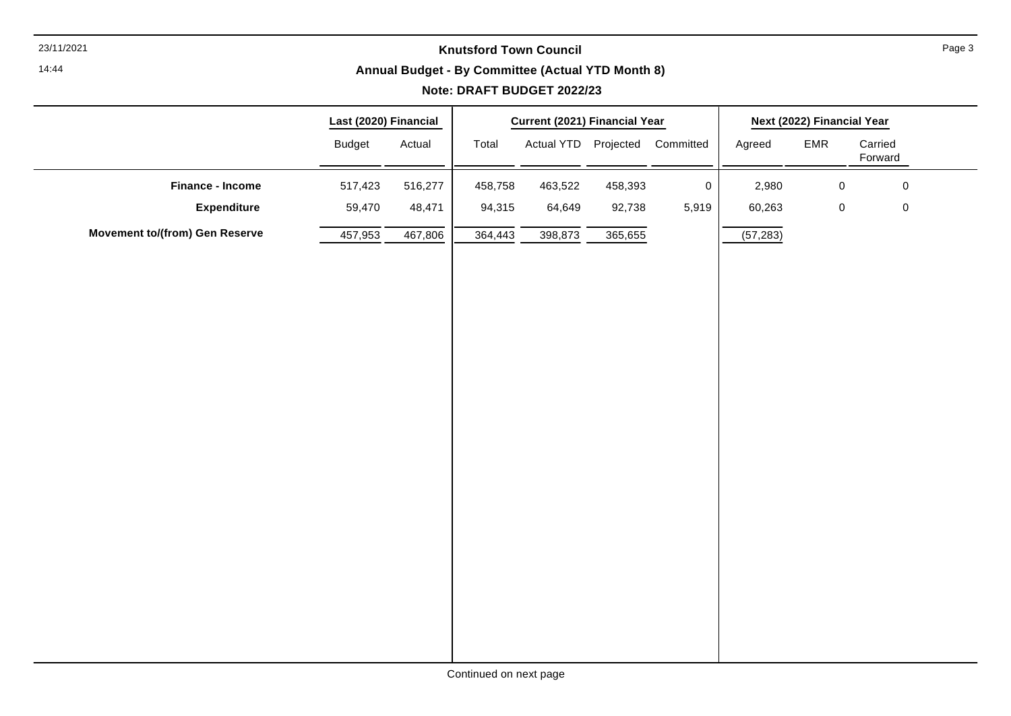14:44

# **Annual Budget - By Committee (Actual YTD Month 8)**

|                                       | Last (2020) Financial |                     |         | Current (2021) Financial Year |         |                                |           | Next (2022) Financial Year |                    |
|---------------------------------------|-----------------------|---------------------|---------|-------------------------------|---------|--------------------------------|-----------|----------------------------|--------------------|
|                                       | <b>Budget</b>         | Actual              | Total   |                               |         | Actual YTD Projected Committed | Agreed    | EMR                        | Carried<br>Forward |
| <b>Finance - Income</b>               | 517,423               | 516,277             | 458,758 | 463,522                       | 458,393 | $\mathbf 0$                    | 2,980     | $\pmb{0}$                  | $\pmb{0}$          |
| <b>Expenditure</b>                    | 59,470                | 48,471              | 94,315  | 64,649                        | 92,738  | 5,919                          | 60,263    | $\pmb{0}$                  | $\pmb{0}$          |
| <b>Movement to/(from) Gen Reserve</b> | 457,953               | $\frac{467,806}{ }$ | 364,443 | 398,873                       | 365,655 |                                | (57, 283) |                            |                    |
|                                       |                       |                     |         |                               |         |                                |           |                            |                    |
|                                       |                       |                     |         |                               |         |                                |           |                            |                    |
|                                       |                       |                     |         |                               |         |                                |           |                            |                    |
|                                       |                       |                     |         |                               |         |                                |           |                            |                    |
|                                       |                       |                     |         |                               |         |                                |           |                            |                    |
|                                       |                       |                     |         |                               |         |                                |           |                            |                    |
|                                       |                       |                     |         |                               |         |                                |           |                            |                    |
|                                       |                       |                     |         |                               |         |                                |           |                            |                    |
|                                       |                       |                     |         |                               |         |                                |           |                            |                    |
|                                       |                       |                     |         |                               |         |                                |           |                            |                    |
|                                       |                       |                     |         |                               |         |                                |           |                            |                    |
|                                       |                       |                     |         |                               |         |                                |           |                            |                    |
|                                       |                       |                     |         |                               |         |                                |           |                            |                    |
|                                       |                       |                     |         |                               |         |                                |           |                            |                    |
|                                       |                       |                     |         |                               |         |                                |           |                            |                    |
|                                       |                       |                     |         |                               |         |                                |           |                            |                    |
|                                       |                       |                     |         |                               |         |                                |           |                            |                    |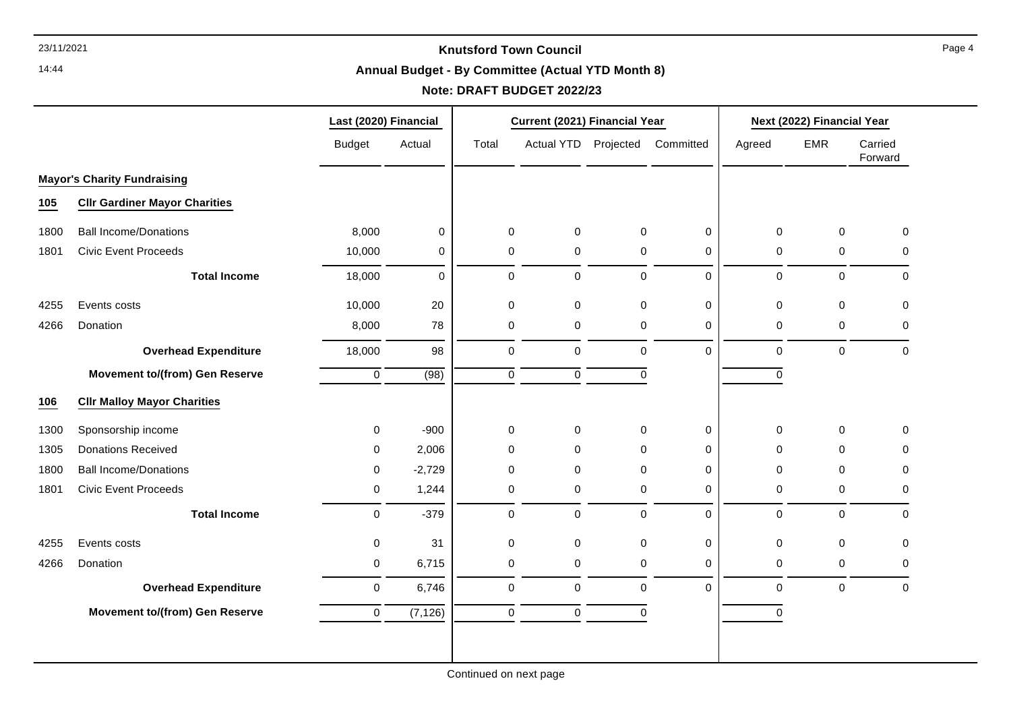14:44

# **Annual Budget - By Committee (Actual YTD Month 8)**

# **Note: DRAFT BUDGET 2022/23**

|      |                                       | Last (2020) Financial |             |             | Current (2021) Financial Year |             |                     | Next (2022) Financial Year |             |                    |
|------|---------------------------------------|-----------------------|-------------|-------------|-------------------------------|-------------|---------------------|----------------------------|-------------|--------------------|
|      |                                       | <b>Budget</b>         | Actual      | Total       | Actual YTD Projected          |             | Committed           | Agreed                     | <b>EMR</b>  | Carried<br>Forward |
|      | <b>Mayor's Charity Fundraising</b>    |                       |             |             |                               |             |                     |                            |             |                    |
| 105  | <b>Cllr Gardiner Mayor Charities</b>  |                       |             |             |                               |             |                     |                            |             |                    |
| 1800 | <b>Ball Income/Donations</b>          | 8,000                 | $\pmb{0}$   | 0           | $\pmb{0}$                     | $\mathbf 0$ | $\mathsf{O}\xspace$ | $\mathbf 0$                | $\mathbf 0$ | 0                  |
| 1801 | <b>Civic Event Proceeds</b>           | 10,000                | 0           | 0           | $\mathbf 0$                   | $\pmb{0}$   | 0                   | 0                          | 0           | 0                  |
|      | <b>Total Income</b>                   | 18,000                | $\mathbf 0$ | $\mathbf 0$ | 0                             | $\mathbf 0$ | 0                   | $\mathbf 0$                | $\mathbf 0$ | 0                  |
| 4255 | Events costs                          | 10,000                | 20          | $\mathbf 0$ | 0                             | $\mathbf 0$ | 0                   | $\mathbf 0$                | $\mathbf 0$ | 0                  |
| 4266 | Donation                              | 8,000                 | 78          | 0           | 0                             | 0           | $\mathbf 0$         | 0                          | 0           | 0                  |
|      | <b>Overhead Expenditure</b>           | 18,000                | 98          | $\mathbf 0$ | $\mathbf 0$                   | $\mathbf 0$ | $\Omega$            | $\Omega$                   | $\mathbf 0$ | 0                  |
|      | <b>Movement to/(from) Gen Reserve</b> | $\mathbf 0$           | (98)        | $\mathbf 0$ | $\mathsf 0$                   | $\mathbf 0$ |                     | $\mathbf 0$                |             |                    |
| 106  | <b>CIIr Malloy Mayor Charities</b>    |                       |             |             |                               |             |                     |                            |             |                    |
| 1300 | Sponsorship income                    | 0                     | $-900$      | $\mathbf 0$ | $\mathbf 0$                   | $\mathbf 0$ | 0                   | $\mathbf 0$                | $\mathbf 0$ | 0                  |
| 1305 | <b>Donations Received</b>             | 0                     | 2,006       | 0           | 0                             | $\Omega$    | $\mathbf 0$         | 0                          | 0           | 0                  |
| 1800 | <b>Ball Income/Donations</b>          | 0                     | $-2,729$    | 0           | 0                             | $\Omega$    | 0                   | $\Omega$                   | 0           | 0                  |
| 1801 | <b>Civic Event Proceeds</b>           | 0                     | 1,244       | 0           | 0                             | $\mathbf 0$ | $\mathbf 0$         | 0                          | 0           | 0                  |
|      | <b>Total Income</b>                   | $\mathbf 0$           | $-379$      | $\mathbf 0$ | $\mathbf 0$                   | $\mathbf 0$ | $\Omega$            | $\mathbf 0$                | $\mathbf 0$ | 0                  |
| 4255 | Events costs                          | 0                     | 31          | $\pmb{0}$   | $\pmb{0}$                     | $\mathbf 0$ | $\pmb{0}$           | $\mathbf 0$                | $\pmb{0}$   | 0                  |
| 4266 | Donation                              | 0                     | 6,715       | 0           | $\pmb{0}$                     | 0           | 0                   | 0                          | 0           | 0                  |
|      | <b>Overhead Expenditure</b>           | 0                     | 6,746       | $\mathbf 0$ | 0                             | $\mathbf 0$ | $\Omega$            | $\mathbf 0$                | $\mathbf 0$ | 0                  |
|      | <b>Movement to/(from) Gen Reserve</b> | 0                     | (7, 126)    | $\mathbf 0$ | $\mathsf 0$                   | $\mathbf 0$ |                     | $\mathbf 0$                |             |                    |
|      |                                       |                       |             |             |                               |             |                     |                            |             |                    |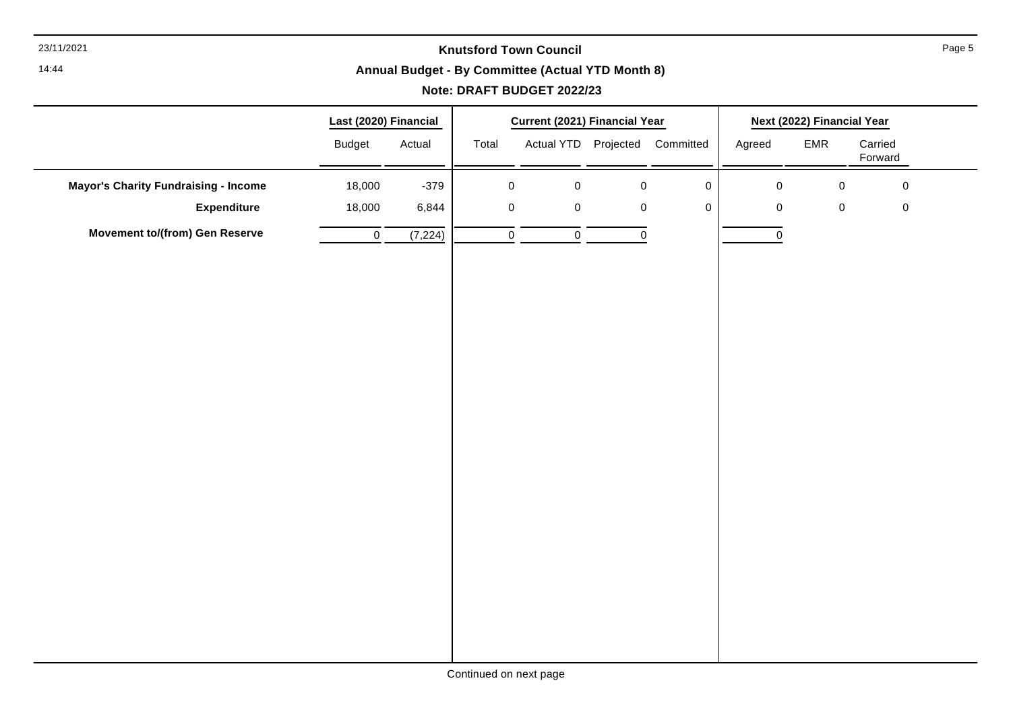14:44

# **Annual Budget - By Committee (Actual YTD Month 8)**

# **Note: DRAFT BUDGET 2022/23**

|                                             | Last (2020) Financial |         |             | Current (2021) Financial Year |           |                                |                     | Next (2022) Financial Year |                    |
|---------------------------------------------|-----------------------|---------|-------------|-------------------------------|-----------|--------------------------------|---------------------|----------------------------|--------------------|
|                                             | <b>Budget</b>         | Actual  | Total       |                               |           | Actual YTD Projected Committed | Agreed              | EMR                        | Carried<br>Forward |
| <b>Mayor's Charity Fundraising - Income</b> | 18,000                | $-379$  | $\pmb{0}$   | $\pmb{0}$                     | $\pmb{0}$ | $\pmb{0}$                      | $\mathsf{O}\xspace$ | $\pmb{0}$                  | $\mathbf 0$        |
| <b>Expenditure</b>                          | 18,000                | 6,844   | $\mathbf 0$ | $\pmb{0}$                     | $\pmb{0}$ | $\mathbf 0$                    | $\mathbf 0$         | $\pmb{0}$                  | $\mathbf 0$        |
| <b>Movement to/(from) Gen Reserve</b>       | $\pmb{0}$             | (7,224) | $\mathbf 0$ | $\mathbf 0$                   | $\pmb{0}$ |                                | $\mathbf 0$         |                            |                    |
|                                             |                       |         |             |                               |           |                                |                     |                            |                    |
|                                             |                       |         |             |                               |           |                                |                     |                            |                    |
|                                             |                       |         |             |                               |           |                                |                     |                            |                    |
|                                             |                       |         |             |                               |           |                                |                     |                            |                    |
|                                             |                       |         |             |                               |           |                                |                     |                            |                    |
|                                             |                       |         |             |                               |           |                                |                     |                            |                    |
|                                             |                       |         |             |                               |           |                                |                     |                            |                    |
|                                             |                       |         |             |                               |           |                                |                     |                            |                    |
|                                             |                       |         |             |                               |           |                                |                     |                            |                    |
|                                             |                       |         |             |                               |           |                                |                     |                            |                    |
|                                             |                       |         |             |                               |           |                                |                     |                            |                    |
|                                             |                       |         |             |                               |           |                                |                     |                            |                    |
|                                             |                       |         |             |                               |           |                                |                     |                            |                    |
|                                             |                       |         |             |                               |           |                                |                     |                            |                    |
|                                             |                       |         |             |                               |           |                                |                     |                            |                    |
|                                             |                       |         |             |                               |           |                                |                     |                            |                    |
|                                             |                       |         |             |                               |           |                                |                     |                            |                    |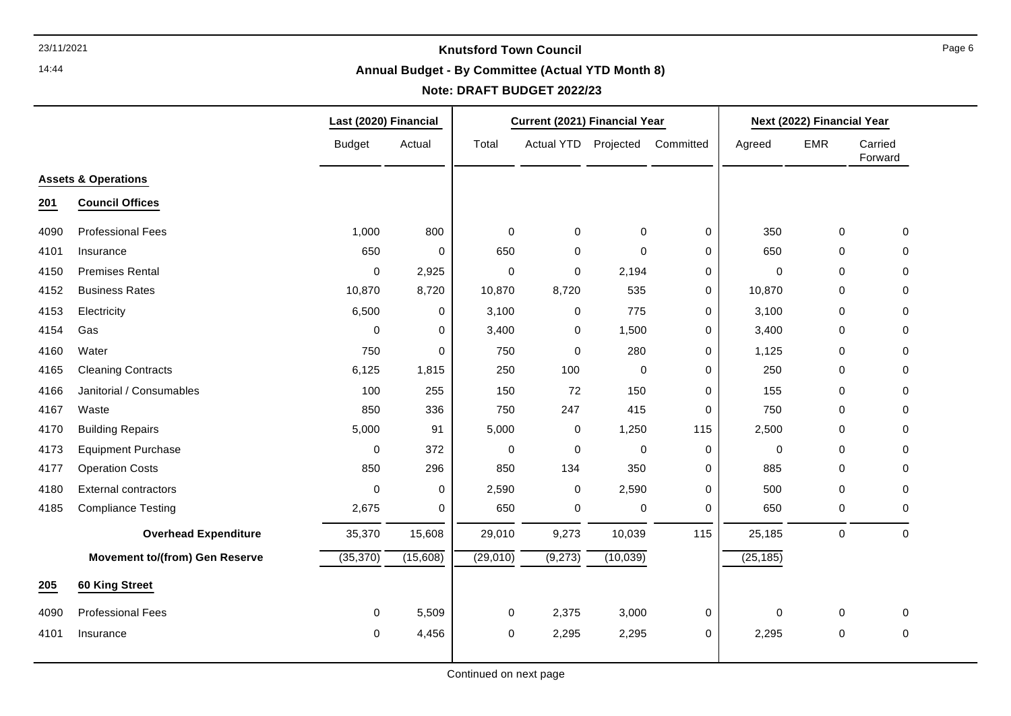14:44

#### **Annual Budget - By Committee (Actual YTD Month 8)**

# **Note: DRAFT BUDGET 2022/23**

|      |                                       | Last (2020) Financial |          | Current (2021) Financial Year |                      |             | Next (2022) Financial Year |             |             |                    |
|------|---------------------------------------|-----------------------|----------|-------------------------------|----------------------|-------------|----------------------------|-------------|-------------|--------------------|
|      |                                       | <b>Budget</b>         | Actual   | Total                         | Actual YTD Projected |             | Committed                  | Agreed      | EMR         | Carried<br>Forward |
|      | <b>Assets &amp; Operations</b>        |                       |          |                               |                      |             |                            |             |             |                    |
| 201  | <b>Council Offices</b>                |                       |          |                               |                      |             |                            |             |             |                    |
| 4090 | <b>Professional Fees</b>              | 1,000                 | 800      | $\mathbf 0$                   | 0                    | $\mathbf 0$ | 0                          | 350         | 0           | 0                  |
| 4101 | Insurance                             | 650                   | 0        | 650                           | $\pmb{0}$            | $\mathbf 0$ | 0                          | 650         | 0           | 0                  |
| 4150 | <b>Premises Rental</b>                | $\mathbf 0$           | 2,925    | $\mathbf 0$                   | $\mathbf 0$          | 2,194       | 0                          | $\mathbf 0$ | $\Omega$    | 0                  |
| 4152 | <b>Business Rates</b>                 | 10,870                | 8,720    | 10,870                        | 8,720                | 535         | 0                          | 10,870      | $\Omega$    | $\Omega$           |
| 4153 | Electricity                           | 6,500                 | 0        | 3,100                         | $\,0\,$              | 775         | 0                          | 3,100       | 0           | 0                  |
| 4154 | Gas                                   | 0                     | 0        | 3,400                         | $\,0\,$              | 1,500       | 0                          | 3,400       | 0           | 0                  |
| 4160 | Water                                 | 750                   | 0        | 750                           | $\pmb{0}$            | 280         | 0                          | 1,125       | 0           | 0                  |
| 4165 | <b>Cleaning Contracts</b>             | 6,125                 | 1,815    | 250                           | 100                  | $\mathbf 0$ | 0                          | 250         | 0           | 0                  |
| 4166 | Janitorial / Consumables              | 100                   | 255      | 150                           | 72                   | 150         | 0                          | 155         | 0           | 0                  |
| 4167 | Waste                                 | 850                   | 336      | 750                           | 247                  | 415         | 0                          | 750         | 0           | 0                  |
| 4170 | <b>Building Repairs</b>               | 5,000                 | 91       | 5,000                         | 0                    | 1,250       | 115                        | 2,500       | 0           | 0                  |
| 4173 | <b>Equipment Purchase</b>             | 0                     | 372      | 0                             | 0                    | 0           | 0                          | 0           | 0           | 0                  |
| 4177 | <b>Operation Costs</b>                | 850                   | 296      | 850                           | 134                  | 350         | 0                          | 885         | 0           | $\Omega$           |
| 4180 | <b>External contractors</b>           | $\Omega$              | 0        | 2,590                         | $\pmb{0}$            | 2,590       | $\mathbf 0$                | 500         | 0           | 0                  |
| 4185 | <b>Compliance Testing</b>             | 2,675                 | 0        | 650                           | 0                    | $\pmb{0}$   | 0                          | 650         | 0           | 0                  |
|      | <b>Overhead Expenditure</b>           | 35,370                | 15,608   | 29,010                        | 9,273                | 10,039      | 115                        | 25,185      | $\mathbf 0$ | $\mathbf 0$        |
|      | <b>Movement to/(from) Gen Reserve</b> | (35, 370)             | (15,608) | (29,010)                      | (9,273)              | (10,039)    |                            | (25, 185)   |             |                    |
| 205  | 60 King Street                        |                       |          |                               |                      |             |                            |             |             |                    |
| 4090 | <b>Professional Fees</b>              | $\mathsf{O}$          | 5,509    | $\pmb{0}$                     | 2,375                | 3,000       | 0                          | $\pmb{0}$   | $\mathbf 0$ | $\mathbf 0$        |
| 4101 | Insurance                             | 0                     | 4,456    | 0                             | 2,295                | 2,295       | 0                          | 2,295       | 0           | 0                  |
|      |                                       |                       |          |                               |                      |             |                            |             |             |                    |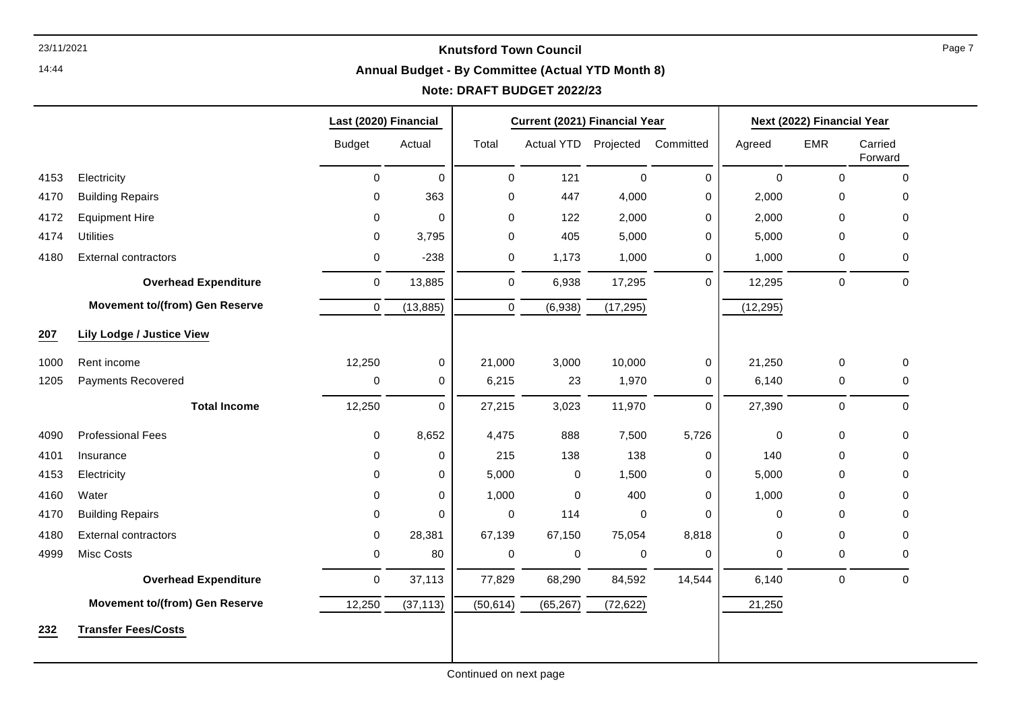14:44

# **Annual Budget - By Committee (Actual YTD Month 8)**

# **Note: DRAFT BUDGET 2022/23**

|      |                                       | Last (2020) Financial |             | <b>Current (2021) Financial Year</b> |                      |             |             | Next (2022) Financial Year |             |                    |
|------|---------------------------------------|-----------------------|-------------|--------------------------------------|----------------------|-------------|-------------|----------------------------|-------------|--------------------|
|      |                                       | <b>Budget</b>         | Actual      | Total                                | Actual YTD Projected |             | Committed   | Agreed                     | <b>EMR</b>  | Carried<br>Forward |
| 4153 | Electricity                           | $\mathbf 0$           | $\Omega$    | $\mathbf 0$                          | 121                  | $\mathbf 0$ | $\Omega$    | $\mathbf 0$                | 0           | 0                  |
| 4170 | <b>Building Repairs</b>               | 0                     | 363         | $\mathbf 0$                          | 447                  | 4,000       | 0           | 2,000                      | 0           | 0                  |
| 4172 | <b>Equipment Hire</b>                 | 0                     | $\mathbf 0$ | $\mathbf 0$                          | 122                  | 2,000       | 0           | 2,000                      | 0           | 0                  |
| 4174 | <b>Utilities</b>                      | $\mathbf 0$           | 3,795       | $\mathbf 0$                          | 405                  | 5,000       | $\Omega$    | 5,000                      | 0           | 0                  |
| 4180 | <b>External contractors</b>           | 0                     | $-238$      | 0                                    | 1,173                | 1,000       | $\Omega$    | 1,000                      | 0           | $\Omega$           |
|      | <b>Overhead Expenditure</b>           | 0                     | 13,885      | $\mathbf 0$                          | 6,938                | 17,295      | $\Omega$    | 12,295                     | 0           | 0                  |
|      | <b>Movement to/(from) Gen Reserve</b> | $\pmb{0}$             | (13, 885)   | $\Omega$                             | (6,938)              | (17, 295)   |             | (12, 295)                  |             |                    |
| 207  | <b>Lily Lodge / Justice View</b>      |                       |             |                                      |                      |             |             |                            |             |                    |
| 1000 | Rent income                           | 12,250                | $\mathbf 0$ | 21,000                               | 3,000                | 10,000      | $\mathbf 0$ | 21,250                     | $\mathsf 0$ | 0                  |
| 1205 | <b>Payments Recovered</b>             | 0                     | $\mathbf 0$ | 6,215                                | 23                   | 1,970       | 0           | 6,140                      | 0           | $\Omega$           |
|      | <b>Total Income</b>                   | 12,250                | 0           | 27,215                               | 3,023                | 11,970      | $\Omega$    | 27,390                     | 0           | 0                  |
| 4090 | <b>Professional Fees</b>              | 0                     | 8,652       | 4,475                                | 888                  | 7,500       | 5,726       | $\mathbf 0$                | 0           | 0                  |
| 4101 | Insurance                             | 0                     | $\mathbf 0$ | 215                                  | 138                  | 138         | 0           | 140                        | 0           | 0                  |
| 4153 | Electricity                           | $\mathbf 0$           | $\mathbf 0$ | 5,000                                | $\pmb{0}$            | 1,500       | $\mathbf 0$ | 5,000                      | 0           | 0                  |
| 4160 | Water                                 | 0                     | $\Omega$    | 1,000                                | $\mathbf 0$          | 400         | 0           | 1,000                      | 0           | 0                  |
| 4170 | <b>Building Repairs</b>               | 0                     | $\Omega$    | $\mathbf 0$                          | 114                  | $\mathbf 0$ | $\Omega$    | $\Omega$                   | 0           | 0                  |
| 4180 | <b>External contractors</b>           | $\mathbf 0$           | 28,381      | 67,139                               | 67,150               | 75,054      | 8,818       | 0                          | 0           | 0                  |
| 4999 | <b>Misc Costs</b>                     | 0                     | 80          | 0                                    | 0                    | 0           | 0           | 0                          | 0           | 0                  |
|      | <b>Overhead Expenditure</b>           | $\mathbf 0$           | 37,113      | 77,829                               | 68,290               | 84,592      | 14,544      | 6,140                      | $\mathsf 0$ | 0                  |
|      | <b>Movement to/(from) Gen Reserve</b> | 12,250                | (37, 113)   | (50, 614)                            | (65, 267)            | (72, 622)   |             | 21,250                     |             |                    |
| 232  | <b>Transfer Fees/Costs</b>            |                       |             |                                      |                      |             |             |                            |             |                    |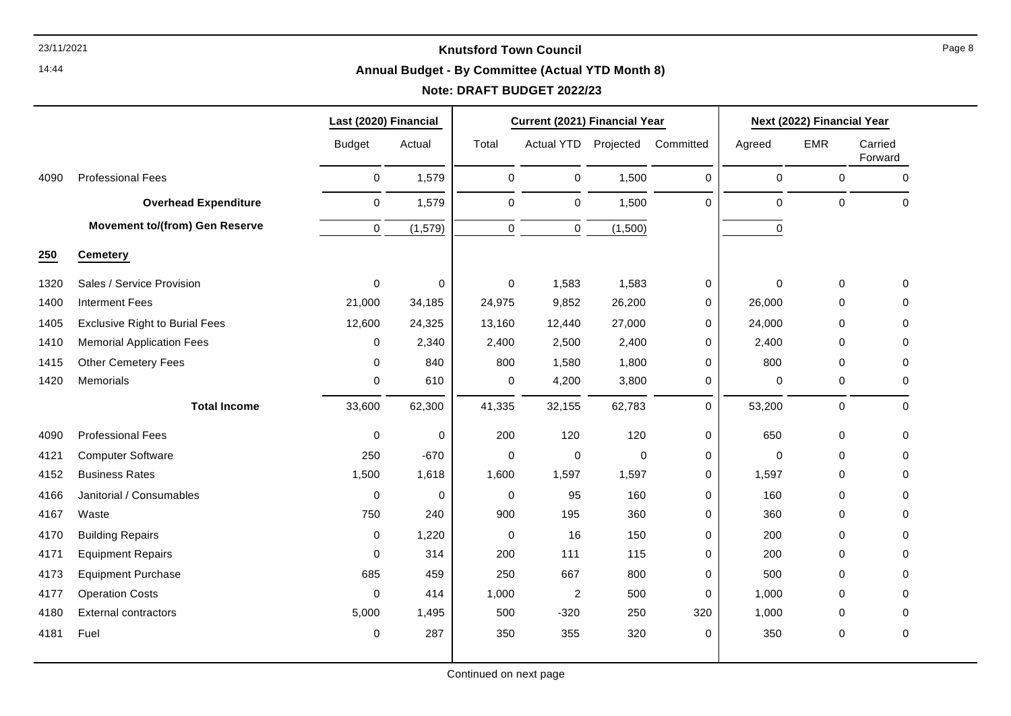# **Annual Budget - By Committee (Actual YTD Month 8)**

|      |                                       | Last (2020) Financial |             |             | Current (2021) Financial Year |             |           | Next (2022) Financial Year |             |                    |
|------|---------------------------------------|-----------------------|-------------|-------------|-------------------------------|-------------|-----------|----------------------------|-------------|--------------------|
|      |                                       | <b>Budget</b>         | Actual      | Total       | Actual YTD                    | Projected   | Committed | Agreed                     | <b>EMR</b>  | Carried<br>Forward |
| 4090 | <b>Professional Fees</b>              | $\mathbf 0$           | 1,579       | $\mathbf 0$ | $\pmb{0}$                     | 1,500       | $\Omega$  | $\mathbf 0$                | $\mathbf 0$ | $\mathbf 0$        |
|      | <b>Overhead Expenditure</b>           | 0                     | 1,579       | $\pmb{0}$   | 0                             | 1,500       | 0         | $\mathbf 0$                | 0           | $\mathsf 0$        |
|      | <b>Movement to/(from) Gen Reserve</b> | $\mathbf 0$           | (1, 579)    | $\mathbf 0$ | $\mathbf 0$                   | (1,500)     |           | $\pmb{0}$                  |             |                    |
| 250  | <b>Cemetery</b>                       |                       |             |             |                               |             |           |                            |             |                    |
| 1320 | Sales / Service Provision             | 0                     | $\mathbf 0$ | 0           | 1,583                         | 1,583       | 0         | $\mathbf 0$                | 0           | 0                  |
| 1400 | <b>Interment Fees</b>                 | 21,000                | 34,185      | 24,975      | 9,852                         | 26,200      | 0         | 26,000                     | 0           | 0                  |
| 1405 | <b>Exclusive Right to Burial Fees</b> | 12,600                | 24,325      | 13,160      | 12,440                        | 27,000      | 0         | 24,000                     | 0           | $\mathbf 0$        |
| 1410 | <b>Memorial Application Fees</b>      | $\Omega$              | 2,340       | 2,400       | 2,500                         | 2,400       | 0         | 2,400                      | 0           | 0                  |
| 1415 | <b>Other Cemetery Fees</b>            | $\mathbf{0}$          | 840         | 800         | 1,580                         | 1,800       | 0         | 800                        | $\mathbf 0$ | 0                  |
| 1420 | Memorials                             | 0                     | 610         | 0           | 4,200                         | 3,800       | 0         | 0                          | 0           | 0                  |
|      | <b>Total Income</b>                   | 33,600                | 62,300      | 41,335      | 32,155                        | 62,783      | $\Omega$  | 53,200                     | 0           | 0                  |
| 4090 | <b>Professional Fees</b>              | $\mathbf 0$           | $\pmb{0}$   | 200         | 120                           | 120         | 0         | 650                        | 0           | 0                  |
| 4121 | <b>Computer Software</b>              | 250                   | $-670$      | 0           | 0                             | $\mathbf 0$ | 0         | $\mathbf 0$                | 0           | 0                  |
| 4152 | <b>Business Rates</b>                 | 1,500                 | 1,618       | 1,600       | 1,597                         | 1,597       | 0         | 1,597                      | 0           | $\mathbf 0$        |
| 4166 | Janitorial / Consumables              | $\mathbf 0$           | $\mathbf 0$ | 0           | 95                            | 160         | 0         | 160                        | $\mathbf 0$ | $\mathbf 0$        |
| 4167 | Waste                                 | 750                   | 240         | 900         | 195                           | 360         | 0         | 360                        | 0           | $\mathbf 0$        |
| 4170 | <b>Building Repairs</b>               | 0                     | 1,220       | 0           | 16                            | 150         | 0         | 200                        | 0           | $\mathbf 0$        |
| 4171 | <b>Equipment Repairs</b>              | $\Omega$              | 314         | 200         | 111                           | 115         | 0         | 200                        | $\mathbf 0$ | 0                  |
| 4173 | <b>Equipment Purchase</b>             | 685                   | 459         | 250         | 667                           | 800         | 0         | 500                        | 0           | 0                  |
| 4177 | <b>Operation Costs</b>                | $\mathbf 0$           | 414         | 1,000       | $\overline{c}$                | 500         | 0         | 1,000                      | 0           | $\mathbf 0$        |
| 4180 | <b>External contractors</b>           | 5,000                 | 1,495       | 500         | $-320$                        | 250         | 320       | 1,000                      | 0           | 0                  |
| 4181 | Fuel                                  | 0                     | 287         | 350         | 355                           | 320         | 0         | 350                        | $\pmb{0}$   | $\pmb{0}$          |
|      |                                       |                       |             |             |                               |             |           |                            |             |                    |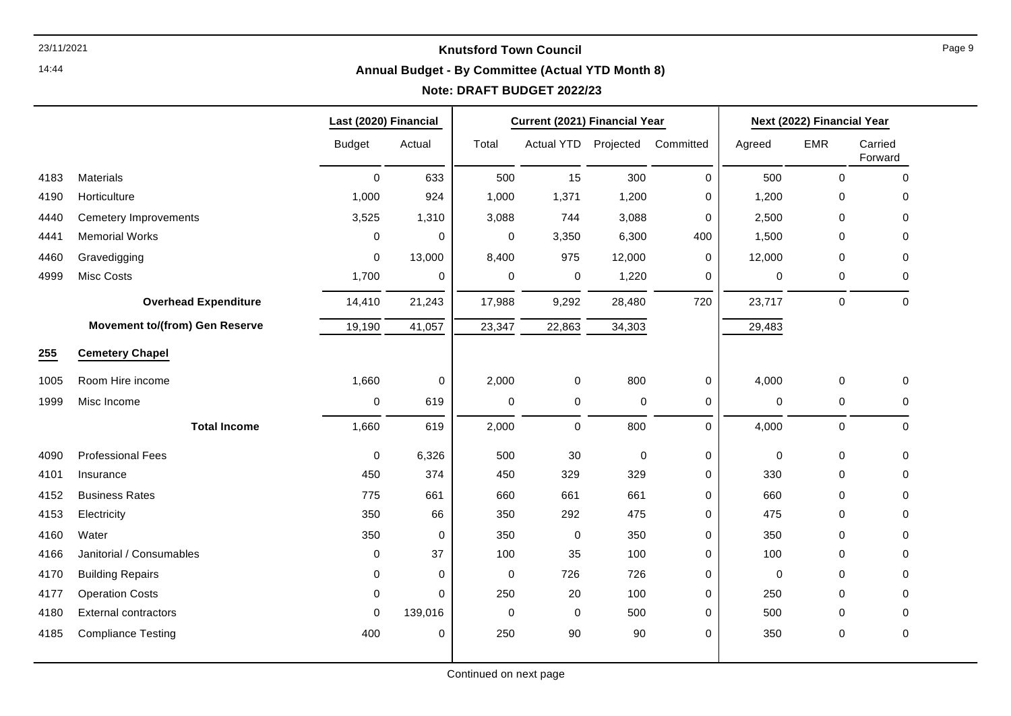14:44

# **Annual Budget - By Committee (Actual YTD Month 8)**

# **Note: DRAFT BUDGET 2022/23**

|      |                                       | Last (2020) Financial |             | Current (2021) Financial Year |             |           |             | Next (2022) Financial Year |             |                    |  |
|------|---------------------------------------|-----------------------|-------------|-------------------------------|-------------|-----------|-------------|----------------------------|-------------|--------------------|--|
|      |                                       | <b>Budget</b>         | Actual      | Total                         | Actual YTD  | Projected | Committed   | Agreed                     | <b>EMR</b>  | Carried<br>Forward |  |
| 4183 | Materials                             | $\mathbf 0$           | 633         | 500                           | 15          | 300       | $\pmb{0}$   | 500                        | $\mathbf 0$ | $\Omega$           |  |
| 4190 | Horticulture                          | 1,000                 | 924         | 1,000                         | 1,371       | 1,200     | 0           | 1,200                      | 0           | 0                  |  |
| 4440 | <b>Cemetery Improvements</b>          | 3,525                 | 1,310       | 3,088                         | 744         | 3,088     | $\mathbf 0$ | 2,500                      | 0           | 0                  |  |
| 4441 | <b>Memorial Works</b>                 | $\mathbf 0$           | $\mathbf 0$ | 0                             | 3,350       | 6,300     | 400         | 1,500                      | 0           | $\mathbf 0$        |  |
| 4460 | Gravedigging                          | $\mathbf 0$           | 13,000      | 8,400                         | 975         | 12,000    | 0           | 12,000                     | 0           | 0                  |  |
| 4999 | Misc Costs                            | 1,700                 | 0           | 0                             | $\pmb{0}$   | 1,220     | 0           | 0                          | 0           | 0                  |  |
|      | <b>Overhead Expenditure</b>           | 14,410                | 21,243      | 17,988                        | 9,292       | 28,480    | 720         | 23,717                     | 0           | $\mathbf 0$        |  |
|      | <b>Movement to/(from) Gen Reserve</b> | 19,190                | 41,057      | 23,347                        | 22,863      | 34,303    |             | 29,483                     |             |                    |  |
| 255  | <b>Cemetery Chapel</b>                |                       |             |                               |             |           |             |                            |             |                    |  |
| 1005 | Room Hire income                      | 1,660                 | 0           | 2,000                         | 0           | 800       | 0           | 4,000                      | 0           | 0                  |  |
| 1999 | Misc Income                           | $\pmb{0}$             | 619         | $\pmb{0}$                     | $\pmb{0}$   | 0         | $\pmb{0}$   | $\pmb{0}$                  | $\pmb{0}$   | 0                  |  |
|      | <b>Total Income</b>                   | 1,660                 | 619         | 2,000                         | $\mathbf 0$ | 800       | $\mathbf 0$ | 4,000                      | $\mathbf 0$ | $\mathbf 0$        |  |
| 4090 | <b>Professional Fees</b>              | $\mathbf 0$           | 6,326       | 500                           | 30          | 0         | 0           | $\mathbf 0$                | 0           | 0                  |  |
| 4101 | Insurance                             | 450                   | 374         | 450                           | 329         | 329       | $\pmb{0}$   | 330                        | 0           | 0                  |  |
| 4152 | <b>Business Rates</b>                 | 775                   | 661         | 660                           | 661         | 661       | $\mathbf 0$ | 660                        | 0           | 0                  |  |
| 4153 | Electricity                           | 350                   | 66          | 350                           | 292         | 475       | $\mathbf 0$ | 475                        | 0           | 0                  |  |
| 4160 | Water                                 | 350                   | $\pmb{0}$   | 350                           | $\pmb{0}$   | 350       | $\mathbf 0$ | 350                        | 0           | 0                  |  |
| 4166 | Janitorial / Consumables              | $\mathbf 0$           | 37          | 100                           | 35          | 100       | 0           | 100                        | 0           | 0                  |  |
| 4170 | <b>Building Repairs</b>               | 0                     | 0           | 0                             | 726         | 726       | $\mathbf 0$ | 0                          | 0           | 0                  |  |
| 4177 | <b>Operation Costs</b>                | $\mathbf 0$           | 0           | 250                           | 20          | 100       | $\pmb{0}$   | 250                        | 0           | $\Omega$           |  |
| 4180 | <b>External contractors</b>           | 0                     | 139,016     | $\mathbf 0$                   | 0           | 500       | $\mathbf 0$ | 500                        | $\mathbf 0$ | 0                  |  |
| 4185 | <b>Compliance Testing</b>             | 400                   | 0           | 250                           | 90          | 90        | $\mathbf 0$ | 350                        | 0           | $\pmb{0}$          |  |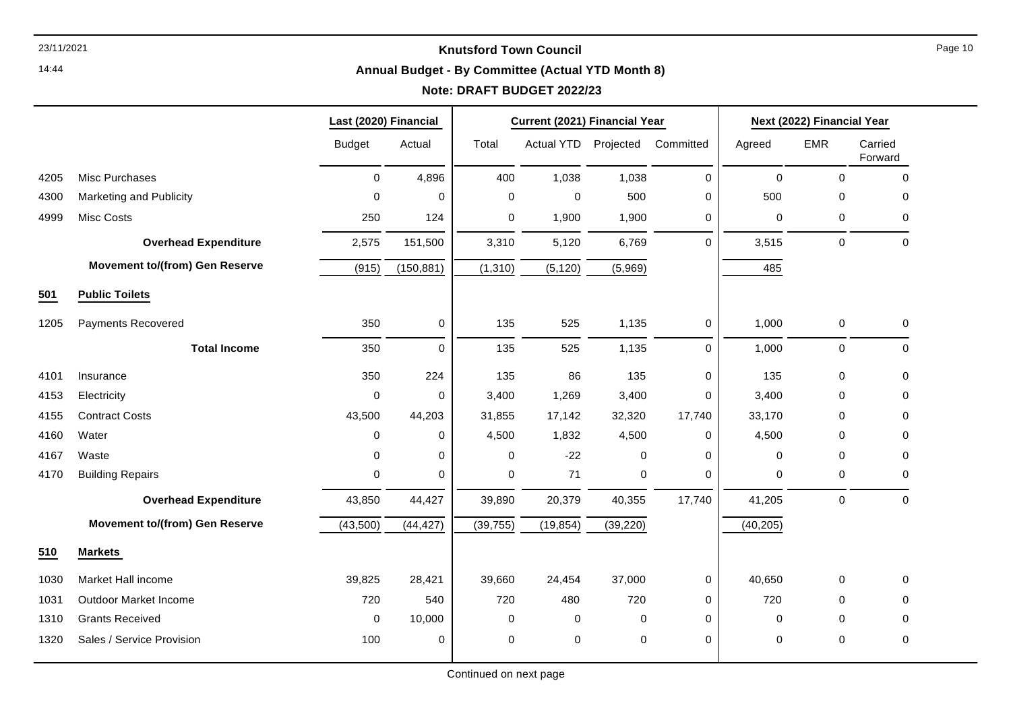14:44

# **Annual Budget - By Committee (Actual YTD Month 8)**

# **Note: DRAFT BUDGET 2022/23**

|      |                                       | Last (2020) Financial |             | Current (2021) Financial Year |            |             |              |           | Next (2022) Financial Year |                    |
|------|---------------------------------------|-----------------------|-------------|-------------------------------|------------|-------------|--------------|-----------|----------------------------|--------------------|
|      |                                       | <b>Budget</b>         | Actual      | Total                         | Actual YTD | Projected   | Committed    | Agreed    | <b>EMR</b>                 | Carried<br>Forward |
| 4205 | Misc Purchases                        | $\mathbf 0$           | 4,896       | 400                           | 1,038      | 1,038       | $\Omega$     | $\pmb{0}$ | $\mathbf 0$                | 0                  |
| 4300 | Marketing and Publicity               | 0                     | 0           | $\mathbf 0$                   | 0          | 500         | $\mathbf 0$  | 500       | $\Omega$                   | $\Omega$           |
| 4999 | <b>Misc Costs</b>                     | 250                   | 124         | $\mathbf 0$                   | 1,900      | 1,900       | $\mathbf 0$  | 0         | $\mathbf 0$                | 0                  |
|      | <b>Overhead Expenditure</b>           | 2,575                 | 151,500     | 3,310                         | 5,120      | 6,769       | $\Omega$     | 3,515     | $\pmb{0}$                  | $\Omega$           |
|      | <b>Movement to/(from) Gen Reserve</b> | (915)                 | (150, 881)  | (1, 310)                      | (5, 120)   | (5,969)     |              | 485       |                            |                    |
| 501  | <b>Public Toilets</b>                 |                       |             |                               |            |             |              |           |                            |                    |
| 1205 | <b>Payments Recovered</b>             | 350                   | 0           | 135                           | 525        | 1,135       | $\mathbf{0}$ | 1,000     | 0                          | 0                  |
|      | <b>Total Income</b>                   | 350                   | $\mathbf 0$ | 135                           | 525        | 1,135       | $\Omega$     | 1,000     | $\boldsymbol{0}$           | $\mathbf 0$        |
| 4101 | Insurance                             | 350                   | 224         | 135                           | 86         | 135         | $\mathbf 0$  | 135       | $\mathbf 0$                | $\mathbf 0$        |
| 4153 | Electricity                           | 0                     | 0           | 3,400                         | 1,269      | 3,400       | 0            | 3,400     | 0                          | 0                  |
| 4155 | <b>Contract Costs</b>                 | 43,500                | 44,203      | 31,855                        | 17,142     | 32,320      | 17,740       | 33,170    | $\Omega$                   | 0                  |
| 4160 | Water                                 | $\mathbf 0$           | 0           | 4,500                         | 1,832      | 4,500       | $\mathbf 0$  | 4,500     | $\Omega$                   | 0                  |
| 4167 | Waste                                 | $\Omega$              | 0           | 0                             | $-22$      | $\mathbf 0$ | $\Omega$     | 0         | $\Omega$                   | $\Omega$           |
| 4170 | <b>Building Repairs</b>               | $\pmb{0}$             | 0           | 0                             | 71         | $\pmb{0}$   | $\mathbf 0$  | 0         | $\mathbf 0$                | 0                  |
|      | <b>Overhead Expenditure</b>           | 43,850                | 44,427      | 39,890                        | 20,379     | 40,355      | 17,740       | 41,205    | $\mathbf 0$                | $\Omega$           |
|      | <b>Movement to/(from) Gen Reserve</b> | (43,500)              | (44, 427)   | (39, 755)                     | (19, 854)  | (39, 220)   |              | (40, 205) |                            |                    |
| 510  | <b>Markets</b>                        |                       |             |                               |            |             |              |           |                            |                    |
| 1030 | Market Hall income                    | 39,825                | 28,421      | 39,660                        | 24,454     | 37,000      | 0            | 40,650    | $\mathbf 0$                | $\mathbf 0$        |
| 1031 | <b>Outdoor Market Income</b>          | 720                   | 540         | 720                           | 480        | 720         | $\mathbf 0$  | 720       | $\Omega$                   | $\Omega$           |
| 1310 | <b>Grants Received</b>                | $\mathbf 0$           | 10,000      | 0                             | 0          | 0           | $\mathbf 0$  | 0         | $\mathbf 0$                | 0                  |
| 1320 | Sales / Service Provision             | 100                   | 0           | $\mathbf 0$                   | 0          | $\mathbf 0$ | $\mathbf 0$  | 0         | $\mathbf 0$                | 0                  |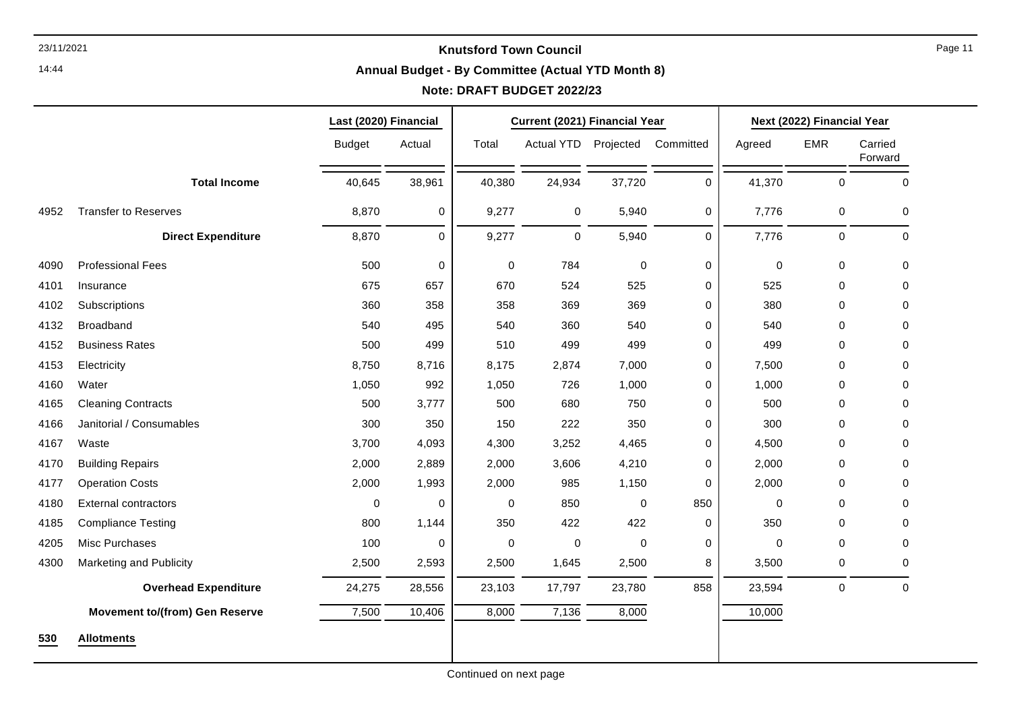#### **Annual Budget - By Committee (Actual YTD Month 8)**

# **Note: DRAFT BUDGET 2022/23**

|      |                                       | Last (2020) Financial |             |             | Current (2021) Financial Year |             |             |             | Next (2022) Financial Year |                    |  |
|------|---------------------------------------|-----------------------|-------------|-------------|-------------------------------|-------------|-------------|-------------|----------------------------|--------------------|--|
|      |                                       | <b>Budget</b>         | Actual      | Total       | Actual YTD                    | Projected   | Committed   | Agreed      | <b>EMR</b>                 | Carried<br>Forward |  |
|      | <b>Total Income</b>                   | 40,645                | 38,961      | 40,380      | 24,934                        | 37,720      | 0           | 41,370      | $\mathbf 0$                | $\mathbf 0$        |  |
| 4952 | <b>Transfer to Reserves</b>           | 8,870                 | 0           | 9,277       | 0                             | 5,940       | 0           | 7,776       | 0                          | 0                  |  |
|      | <b>Direct Expenditure</b>             | 8,870                 | $\mathbf 0$ | 9,277       | $\mathbf 0$                   | 5,940       | $\mathbf 0$ | 7,776       | $\mathbf 0$                | 0                  |  |
| 4090 | <b>Professional Fees</b>              | 500                   | $\pmb{0}$   | $\pmb{0}$   | 784                           | $\mathbf 0$ | 0           | $\mathbf 0$ | 0                          | 0                  |  |
| 4101 | Insurance                             | 675                   | 657         | 670         | 524                           | 525         | 0           | 525         | 0                          | $\mathbf 0$        |  |
| 4102 | Subscriptions                         | 360                   | 358         | 358         | 369                           | 369         | 0           | 380         | 0                          | 0                  |  |
| 4132 | Broadband                             | 540                   | 495         | 540         | 360                           | 540         | 0           | 540         | 0                          | $\mathbf 0$        |  |
| 4152 | <b>Business Rates</b>                 | 500                   | 499         | 510         | 499                           | 499         | 0           | 499         | 0                          | 0                  |  |
| 4153 | Electricity                           | 8,750                 | 8,716       | 8,175       | 2,874                         | 7,000       | 0           | 7,500       | 0                          | $\mathbf 0$        |  |
| 4160 | Water                                 | 1,050                 | 992         | 1,050       | 726                           | 1,000       | 0           | 1,000       | 0                          | 0                  |  |
| 4165 | <b>Cleaning Contracts</b>             | 500                   | 3,777       | 500         | 680                           | 750         | 0           | 500         | 0                          | 0                  |  |
| 4166 | Janitorial / Consumables              | 300                   | 350         | 150         | 222                           | 350         | 0           | 300         | 0                          | $\mathbf 0$        |  |
| 4167 | Waste                                 | 3,700                 | 4,093       | 4,300       | 3,252                         | 4,465       | 0           | 4,500       | 0                          | $\mathbf 0$        |  |
| 4170 | <b>Building Repairs</b>               | 2,000                 | 2,889       | 2,000       | 3,606                         | 4,210       | 0           | 2,000       | 0                          | 0                  |  |
| 4177 | <b>Operation Costs</b>                | 2,000                 | 1,993       | 2,000       | 985                           | 1,150       | 0           | 2,000       | 0                          | $\mathbf 0$        |  |
| 4180 | <b>External contractors</b>           | $\mathbf 0$           | $\mathbf 0$ | $\mathbf 0$ | 850                           | 0           | 850         | 0           | 0                          | $\mathbf 0$        |  |
| 4185 | <b>Compliance Testing</b>             | 800                   | 1,144       | 350         | 422                           | 422         | 0           | 350         | 0                          | 0                  |  |
| 4205 | Misc Purchases                        | 100                   | 0           | $\mathbf 0$ | $\mathbf 0$                   | 0           | 0           | 0           | 0                          | $\mathbf 0$        |  |
| 4300 | Marketing and Publicity               | 2,500                 | 2,593       | 2,500       | 1,645                         | 2,500       | 8           | 3,500       | 0                          | $\Omega$           |  |
|      | <b>Overhead Expenditure</b>           | 24,275                | 28,556      | 23,103      | 17,797                        | 23,780      | 858         | 23,594      | $\pmb{0}$                  | $\mathbf 0$        |  |
|      | <b>Movement to/(from) Gen Reserve</b> | 7,500                 | 10,406      | 8,000       | 7,136                         | 8,000       |             | 10,000      |                            |                    |  |
| 530  | <b>Allotments</b>                     |                       |             |             |                               |             |             |             |                            |                    |  |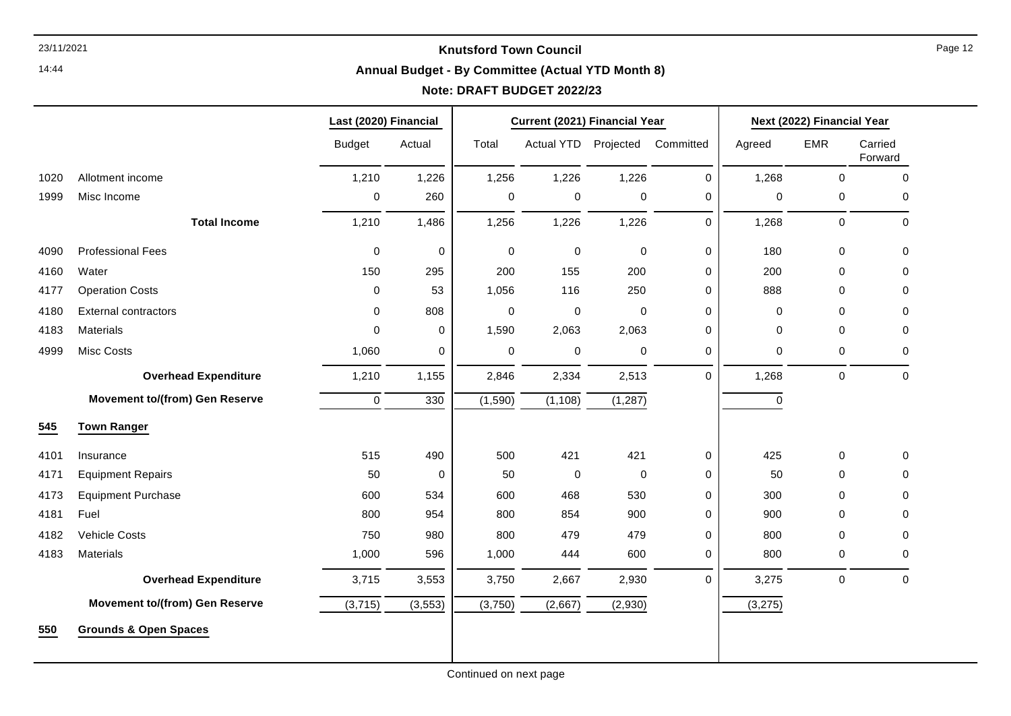14:44

# **Annual Budget - By Committee (Actual YTD Month 8)**

|      |                                       | Last (2020) Financial |             |         | Current (2021) Financial Year |             |             |             | Next (2022) Financial Year |                    |
|------|---------------------------------------|-----------------------|-------------|---------|-------------------------------|-------------|-------------|-------------|----------------------------|--------------------|
|      |                                       | <b>Budget</b>         | Actual      | Total   | Actual YTD Projected          |             | Committed   | Agreed      | <b>EMR</b>                 | Carried<br>Forward |
| 1020 | Allotment income                      | 1,210                 | 1,226       | 1,256   | 1,226                         | 1,226       | $\mathbf 0$ | 1,268       | $\mathbf 0$                | $\mathbf 0$        |
| 1999 | Misc Income                           | 0                     | 260         | 0       | 0                             | 0           | 0           | $\mathbf 0$ | 0                          | 0                  |
|      | <b>Total Income</b>                   | 1,210                 | 1,486       | 1,256   | 1,226                         | 1,226       | $\mathbf 0$ | 1,268       | 0                          | $\mathbf 0$        |
| 4090 | <b>Professional Fees</b>              | $\mathbf 0$           | $\mathbf 0$ | 0       | $\mathbf 0$                   | $\mathbf 0$ | $\mathbf 0$ | 180         | 0                          | $\mathbf 0$        |
| 4160 | Water                                 | 150                   | 295         | 200     | 155                           | 200         | $\mathbf 0$ | 200         | 0                          | $\mathbf 0$        |
| 4177 | <b>Operation Costs</b>                | $\mathbf 0$           | 53          | 1,056   | 116                           | 250         | 0           | 888         | 0                          | $\mathbf 0$        |
| 4180 | <b>External contractors</b>           | 0                     | 808         | 0       | 0                             | $\mathbf 0$ | 0           | $\mathbf 0$ | 0                          | $\mathbf 0$        |
| 4183 | <b>Materials</b>                      | $\mathbf 0$           | $\mathbf 0$ | 1,590   | 2,063                         | 2,063       | $\mathbf 0$ | $\mathbf 0$ | 0                          | $\mathbf 0$        |
| 4999 | Misc Costs                            | 1,060                 | $\mathbf 0$ | 0       | 0                             | $\mathbf 0$ | 0           | 0           | 0                          | 0                  |
|      | <b>Overhead Expenditure</b>           | 1,210                 | 1,155       | 2,846   | 2,334                         | 2,513       | $\Omega$    | 1,268       | 0                          | $\mathbf 0$        |
|      | <b>Movement to/(from) Gen Reserve</b> | $\mathbf 0$           | 330         | (1,590) | (1, 108)                      | (1, 287)    |             | 0           |                            |                    |
| 545  | <b>Town Ranger</b>                    |                       |             |         |                               |             |             |             |                            |                    |
| 4101 | Insurance                             | 515                   | 490         | 500     | 421                           | 421         | 0           | 425         | 0                          | $\mathbf 0$        |
| 4171 | <b>Equipment Repairs</b>              | 50                    | $\mathbf 0$ | 50      | $\mathbf 0$                   | $\mathbf 0$ | $\mathbf 0$ | 50          | 0                          | $\mathbf 0$        |
| 4173 | <b>Equipment Purchase</b>             | 600                   | 534         | 600     | 468                           | 530         | $\mathbf 0$ | 300         | 0                          | 0                  |
| 4181 | Fuel                                  | 800                   | 954         | 800     | 854                           | 900         | 0           | 900         | 0                          | $\mathbf 0$        |
| 4182 | <b>Vehicle Costs</b>                  | 750                   | 980         | 800     | 479                           | 479         | 0           | 800         | 0                          | $\mathbf 0$        |
| 4183 | <b>Materials</b>                      | 1,000                 | 596         | 1,000   | 444                           | 600         | 0           | 800         | 0                          | 0                  |
|      | <b>Overhead Expenditure</b>           | 3,715                 | 3,553       | 3,750   | 2,667                         | 2,930       | $\mathbf 0$ | 3,275       | 0                          | $\pmb{0}$          |
|      | <b>Movement to/(from) Gen Reserve</b> | (3,715)               | (3, 553)    | (3,750) | (2,667)                       | (2,930)     |             | (3,275)     |                            |                    |
| 550  | <b>Grounds &amp; Open Spaces</b>      |                       |             |         |                               |             |             |             |                            |                    |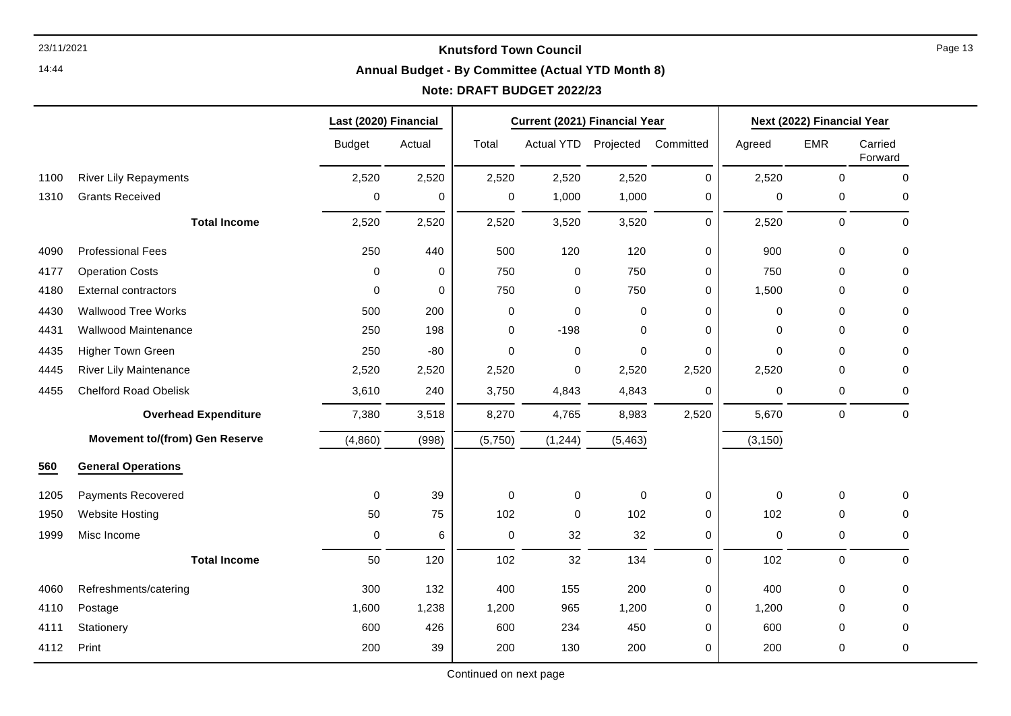14:44

#### **Annual Budget - By Committee (Actual YTD Month 8)**

# **Note: DRAFT BUDGET 2022/23**

|      |                                       | Last (2020) Financial |             |             | Current (2021) Financial Year |             |             |             | Next (2022) Financial Year |                    |
|------|---------------------------------------|-----------------------|-------------|-------------|-------------------------------|-------------|-------------|-------------|----------------------------|--------------------|
|      |                                       | <b>Budget</b>         | Actual      | Total       | Actual YTD Projected          |             | Committed   | Agreed      | <b>EMR</b>                 | Carried<br>Forward |
| 1100 | <b>River Lily Repayments</b>          | 2,520                 | 2,520       | 2,520       | 2,520                         | 2,520       | 0           | 2,520       | $\mathbf 0$                | $\mathbf 0$        |
| 1310 | <b>Grants Received</b>                | 0                     | $\mathbf 0$ | $\mathbf 0$ | 1,000                         | 1,000       | 0           | 0           | 0                          | 0                  |
|      | <b>Total Income</b>                   | 2,520                 | 2,520       | 2,520       | 3,520                         | 3,520       | 0           | 2,520       | $\mathbf 0$                | $\pmb{0}$          |
| 4090 | <b>Professional Fees</b>              | 250                   | 440         | 500         | 120                           | 120         | $\mathbf 0$ | 900         | 0                          | $\mathbf 0$        |
| 4177 | <b>Operation Costs</b>                | $\Omega$              | 0           | 750         | $\pmb{0}$                     | 750         | 0           | 750         | 0                          | 0                  |
| 4180 | <b>External contractors</b>           | $\mathbf 0$           | $\mathbf 0$ | 750         | $\pmb{0}$                     | 750         | 0           | 1,500       | 0                          | 0                  |
| 4430 | <b>Wallwood Tree Works</b>            | 500                   | 200         | 0           | 0                             | $\Omega$    | 0           | 0           | 0                          | 0                  |
| 4431 | Wallwood Maintenance                  | 250                   | 198         | 0           | $-198$                        | $\Omega$    | 0           | 0           | 0                          | 0                  |
| 4435 | <b>Higher Town Green</b>              | 250                   | $-80$       | 0           | 0                             | $\mathbf 0$ | $\mathbf 0$ | 0           | 0                          | 0                  |
| 4445 | <b>River Lily Maintenance</b>         | 2,520                 | 2,520       | 2,520       | $\mathbf 0$                   | 2,520       | 2,520       | 2,520       | 0                          | 0                  |
| 4455 | <b>Chelford Road Obelisk</b>          | 3,610                 | 240         | 3,750       | 4,843                         | 4,843       | 0           | 0           | 0                          | $\mathbf 0$        |
|      | <b>Overhead Expenditure</b>           | 7,380                 | 3,518       | 8,270       | 4,765                         | 8,983       | 2,520       | 5,670       | 0                          | $\mathbf 0$        |
|      | <b>Movement to/(from) Gen Reserve</b> | (4,860)               | (998)       | (5,750)     | (1, 244)                      | (5, 463)    |             | (3, 150)    |                            |                    |
| 560  | <b>General Operations</b>             |                       |             |             |                               |             |             |             |                            |                    |
| 1205 | <b>Payments Recovered</b>             | 0                     | 39          | $\mathbf 0$ | $\mathbf 0$                   | $\mathbf 0$ | 0           | $\mathbf 0$ | 0                          | 0                  |
| 1950 | <b>Website Hosting</b>                | 50                    | 75          | 102         | 0                             | 102         | 0           | 102         | 0                          | 0                  |
| 1999 | Misc Income                           | 0                     | 6           | 0           | 32                            | 32          | 0           | $\mathbf 0$ | 0                          | 0                  |
|      | <b>Total Income</b>                   | 50                    | 120         | 102         | 32                            | 134         | 0           | 102         | 0                          | $\mathbf 0$        |
| 4060 | Refreshments/catering                 | 300                   | 132         | 400         | 155                           | 200         | 0           | 400         | 0                          | 0                  |
| 4110 | Postage                               | 1,600                 | 1,238       | 1,200       | 965                           | 1,200       | 0           | 1,200       | 0                          | 0                  |
| 4111 | Stationery                            | 600                   | 426         | 600         | 234                           | 450         | 0           | 600         | 0                          | 0                  |
| 4112 | Print                                 | 200                   | 39          | 200         | 130                           | 200         | 0           | 200         | $\mathbf 0$                | 0                  |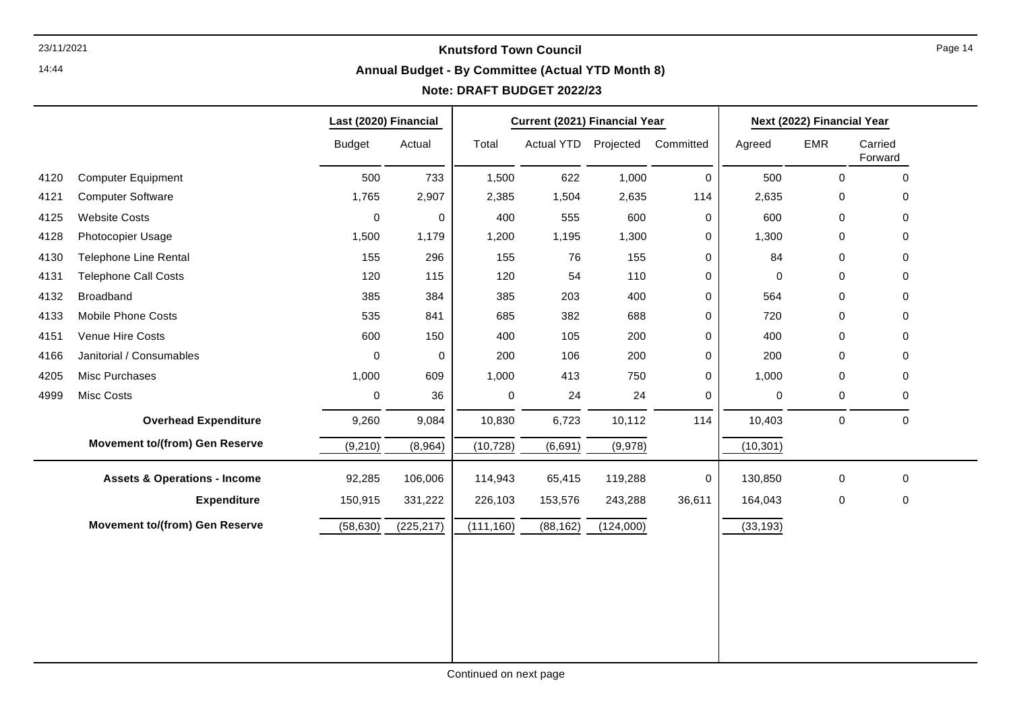14:44

# **Annual Budget - By Committee (Actual YTD Month 8)**

# **Note: DRAFT BUDGET 2022/23**

|      |                                         | Last (2020) Financial |             |             | Current (2021) Financial Year |                                |             |           | Next (2022) Financial Year |                     |
|------|-----------------------------------------|-----------------------|-------------|-------------|-------------------------------|--------------------------------|-------------|-----------|----------------------------|---------------------|
|      |                                         | <b>Budget</b>         | Actual      | Total       |                               | Actual YTD Projected Committed |             | Agreed    | <b>EMR</b>                 | Carried<br>Forward  |
| 4120 | <b>Computer Equipment</b>               | 500                   | 733         | 1,500       | 622                           | 1,000                          | 0           | 500       | $\mathbf 0$                | 0                   |
| 4121 | <b>Computer Software</b>                | 1,765                 | 2,907       | 2,385       | 1,504                         | 2,635                          | 114         | 2,635     | 0                          | 0                   |
| 4125 | <b>Website Costs</b>                    | $\pmb{0}$             | 0           | 400         | 555                           | 600                            | 0           | 600       | 0                          | $\mathbf 0$         |
| 4128 | Photocopier Usage                       | 1,500                 | 1,179       | 1,200       | 1,195                         | 1,300                          | 0           | 1,300     | 0                          | $\mathbf 0$         |
| 4130 | Telephone Line Rental                   | 155                   | 296         | 155         | 76                            | 155                            | 0           | 84        | 0                          | $\mathbf 0$         |
| 4131 | <b>Telephone Call Costs</b>             | 120                   | 115         | 120         | 54                            | 110                            | 0           | $\pmb{0}$ | 0                          | $\mathbf 0$         |
| 4132 | Broadband                               | 385                   | 384         | 385         | 203                           | 400                            | 0           | 564       | 0                          | 0                   |
| 4133 | Mobile Phone Costs                      | 535                   | 841         | 685         | 382                           | 688                            | 0           | 720       | 0                          | $\mathbf 0$         |
| 4151 | Venue Hire Costs                        | 600                   | 150         | 400         | 105                           | 200                            | 0           | 400       | 0                          | $\mathbf 0$         |
| 4166 | Janitorial / Consumables                | 0                     | $\mathbf 0$ | 200         | 106                           | 200                            | 0           | 200       | 0                          | 0                   |
| 4205 | Misc Purchases                          | 1,000                 | 609         | 1,000       | 413                           | 750                            | $\pmb{0}$   | 1,000     | 0                          | $\mathsf{O}\xspace$ |
| 4999 | Misc Costs                              | $\pmb{0}$             | 36          | $\mathbf 0$ | 24                            | 24                             | 0           | $\pmb{0}$ | 0                          | $\mathbf 0$         |
|      | <b>Overhead Expenditure</b>             | 9,260                 | 9,084       | 10,830      | 6,723                         | 10,112                         | 114         | 10,403    | $\mathbf 0$                | $\pmb{0}$           |
|      | <b>Movement to/(from) Gen Reserve</b>   | (9,210)               | (8,964)     | (10, 728)   | (6,691)                       | (9,978)                        |             | (10, 301) |                            |                     |
|      | <b>Assets &amp; Operations - Income</b> | 92,285                | 106,006     | 114,943     | 65,415                        | 119,288                        | $\mathbf 0$ | 130,850   | 0                          | $\mathsf{O}\xspace$ |
|      | <b>Expenditure</b>                      | 150,915               | 331,222     | 226,103     | 153,576                       | 243,288                        | 36,611      | 164,043   | $\mathbf 0$                | $\mathsf{O}\xspace$ |
|      | <b>Movement to/(from) Gen Reserve</b>   | (58, 630)             | (225, 217)  | (111, 160)  | (88, 162)                     | (124,000)                      |             | (33, 193) |                            |                     |
|      |                                         |                       |             |             |                               |                                |             |           |                            |                     |
|      |                                         |                       |             |             |                               |                                |             |           |                            |                     |
|      |                                         |                       |             |             |                               |                                |             |           |                            |                     |
|      |                                         |                       |             |             |                               |                                |             |           |                            |                     |
|      |                                         |                       |             |             |                               |                                |             |           |                            |                     |
|      |                                         |                       |             |             |                               |                                |             |           |                            |                     |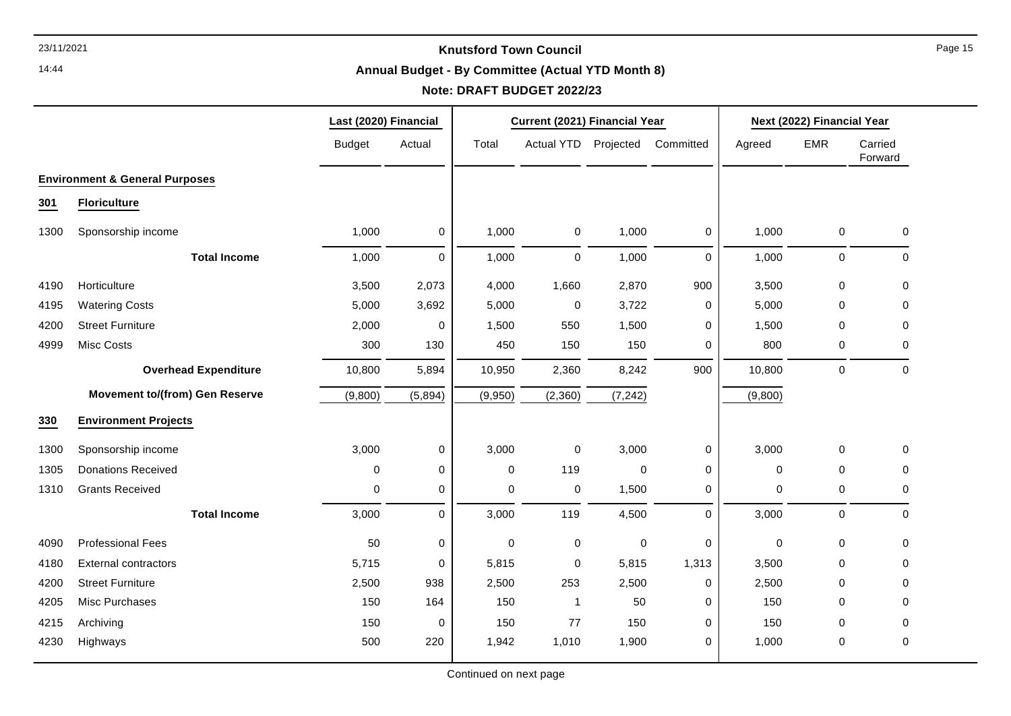14:44

# **Annual Budget - By Committee (Actual YTD Month 8)**

# **Note: DRAFT BUDGET 2022/23**

|      |                                           | Last (2020) Financial |             |             | Current (2021) Financial Year |             |             |             | Next (2022) Financial Year |                    |
|------|-------------------------------------------|-----------------------|-------------|-------------|-------------------------------|-------------|-------------|-------------|----------------------------|--------------------|
|      |                                           | <b>Budget</b>         | Actual      | Total       | Actual YTD Projected          |             | Committed   | Agreed      | EMR                        | Carried<br>Forward |
|      | <b>Environment &amp; General Purposes</b> |                       |             |             |                               |             |             |             |                            |                    |
| 301  | <b>Floriculture</b>                       |                       |             |             |                               |             |             |             |                            |                    |
| 1300 | Sponsorship income                        | 1,000                 | 0           | 1,000       | $\mathbf 0$                   | 1,000       | 0           | 1,000       | 0                          | 0                  |
|      | <b>Total Income</b>                       | 1,000                 | $\pmb{0}$   | 1,000       | 0                             | 1,000       | $\mathbf 0$ | 1,000       | $\mathbf 0$                | $\pmb{0}$          |
| 4190 | Horticulture                              | 3,500                 | 2,073       | 4,000       | 1,660                         | 2,870       | 900         | 3,500       | 0                          | $\mathbf 0$        |
| 4195 | <b>Watering Costs</b>                     | 5,000                 | 3,692       | 5,000       | 0                             | 3,722       | 0           | 5,000       | $\mathbf 0$                | 0                  |
| 4200 | <b>Street Furniture</b>                   | 2,000                 | 0           | 1,500       | 550                           | 1,500       | $\mathbf 0$ | 1,500       | $\mathbf 0$                | 0                  |
| 4999 | Misc Costs                                | 300                   | 130         | 450         | 150                           | 150         | 0           | 800         | 0                          | 0                  |
|      | <b>Overhead Expenditure</b>               | 10,800                | 5,894       | 10,950      | 2,360                         | 8,242       | 900         | 10,800      | $\mathbf 0$                | 0                  |
|      | <b>Movement to/(from) Gen Reserve</b>     | (9,800)               | (5,894)     | (9,950)     | (2,360)                       | (7, 242)    |             | (9,800)     |                            |                    |
| 330  | <b>Environment Projects</b>               |                       |             |             |                               |             |             |             |                            |                    |
| 1300 | Sponsorship income                        | 3,000                 | 0           | 3,000       | $\pmb{0}$                     | 3,000       | 0           | 3,000       | 0                          | 0                  |
| 1305 | <b>Donations Received</b>                 | 0                     | $\mathbf 0$ | $\mathbf 0$ | 119                           | $\mathbf 0$ | 0           | $\mathbf 0$ | $\mathbf 0$                | 0                  |
| 1310 | <b>Grants Received</b>                    | 0                     | 0           | $\mathbf 0$ | 0                             | 1,500       | 0           | $\mathbf 0$ | 0                          | 0                  |
|      | <b>Total Income</b>                       | 3,000                 | $\mathbf 0$ | 3,000       | 119                           | 4,500       | $\mathbf 0$ | 3,000       | $\pmb{0}$                  | 0                  |
| 4090 | <b>Professional Fees</b>                  | 50                    | 0           | 0           | 0                             | $\pmb{0}$   | 0           | 0           | $\mathbf 0$                | 0                  |
| 4180 | <b>External contractors</b>               | 5,715                 | 0           | 5,815       | 0                             | 5,815       | 1,313       | 3,500       | $\Omega$                   | 0                  |
| 4200 | <b>Street Furniture</b>                   | 2,500                 | 938         | 2,500       | 253                           | 2,500       | 0           | 2,500       | $\mathbf 0$                | 0                  |
| 4205 | Misc Purchases                            | 150                   | 164         | 150         | $\mathbf{1}$                  | 50          | $\mathbf 0$ | 150         | $\Omega$                   | 0                  |
| 4215 | Archiving                                 | 150                   | 0           | 150         | 77                            | 150         | 0           | 150         | 0                          | 0                  |
| 4230 | Highways                                  | 500                   | 220         | 1,942       | 1,010                         | 1,900       | 0           | 1,000       | 0                          | $\pmb{0}$          |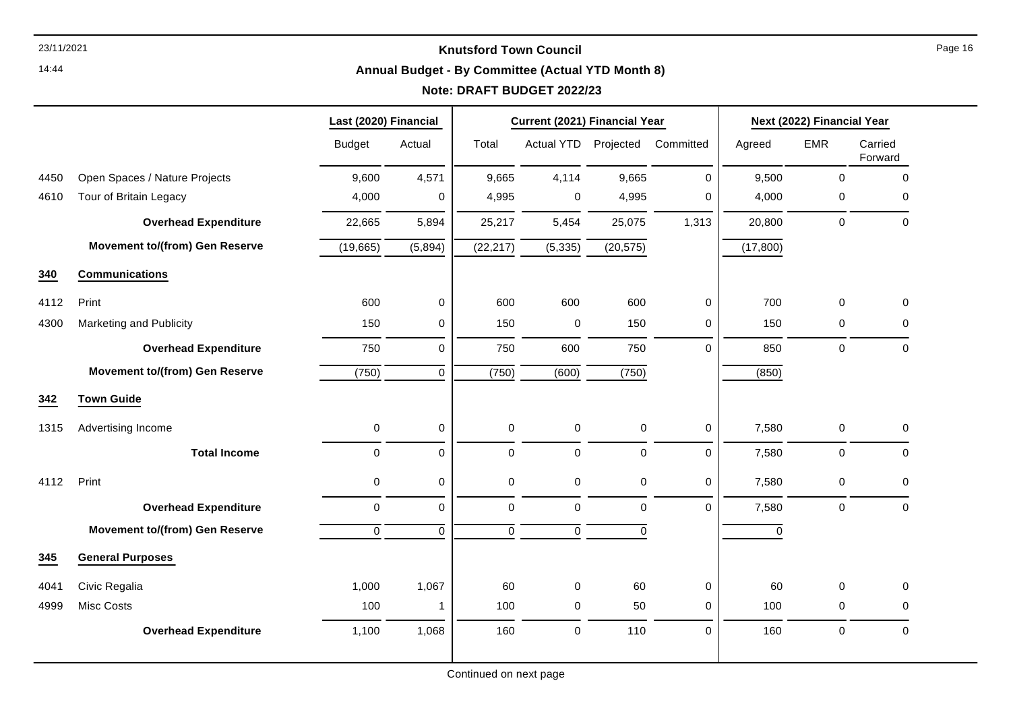14:44

#### **Annual Budget - By Committee (Actual YTD Month 8)**

# **Note: DRAFT BUDGET 2022/23**

|      |                                       | Last (2020) Financial |             |             | Current (2021) Financial Year |             |             |             | Next (2022) Financial Year |                    |
|------|---------------------------------------|-----------------------|-------------|-------------|-------------------------------|-------------|-------------|-------------|----------------------------|--------------------|
|      |                                       | <b>Budget</b>         | Actual      | Total       | Actual YTD Projected          |             | Committed   | Agreed      | <b>EMR</b>                 | Carried<br>Forward |
| 4450 | Open Spaces / Nature Projects         | 9,600                 | 4,571       | 9,665       | 4,114                         | 9,665       | $\pmb{0}$   | 9,500       | $\pmb{0}$                  | $\mathbf 0$        |
| 4610 | Tour of Britain Legacy                | 4,000                 | $\mathbf 0$ | 4,995       | 0                             | 4,995       | 0           | 4,000       | $\pmb{0}$                  | $\Omega$           |
|      | <b>Overhead Expenditure</b>           | 22,665                | 5,894       | 25,217      | 5,454                         | 25,075      | 1,313       | 20,800      | 0                          | $\mathbf 0$        |
|      | <b>Movement to/(from) Gen Reserve</b> | (19,665)              | (5,894)     | (22, 217)   | (5, 335)                      | (20, 575)   |             | (17, 800)   |                            |                    |
| 340  | <b>Communications</b>                 |                       |             |             |                               |             |             |             |                            |                    |
| 4112 | Print                                 | 600                   | $\mathbf 0$ | 600         | 600                           | 600         | $\pmb{0}$   | 700         | $\pmb{0}$                  | $\mathbf 0$        |
| 4300 | Marketing and Publicity               | 150                   | $\mathbf 0$ | 150         | $\pmb{0}$                     | 150         | 0           | 150         | $\pmb{0}$                  | 0                  |
|      | <b>Overhead Expenditure</b>           | 750                   | $\mathbf 0$ | 750         | 600                           | 750         | $\mathbf 0$ | 850         | $\pmb{0}$                  | $\pmb{0}$          |
|      | <b>Movement to/(from) Gen Reserve</b> | (750)                 | $\Omega$    | (750)       | (600)                         | (750)       |             | (850)       |                            |                    |
| 342  | <b>Town Guide</b>                     |                       |             |             |                               |             |             |             |                            |                    |
| 1315 | Advertising Income                    | 0                     | $\mathbf 0$ | $\pmb{0}$   | $\mathsf{O}\xspace$           | $\mathbf 0$ | 0           | 7,580       | $\pmb{0}$                  | $\pmb{0}$          |
|      | <b>Total Income</b>                   | 0                     | $\mathbf 0$ | $\pmb{0}$   | $\mathbf 0$                   | $\mathbf 0$ | $\mathbf 0$ | 7,580       | 0                          | $\Omega$           |
| 4112 | Print                                 | 0                     | $\mathbf 0$ | 0           | 0                             | 0           | $\mathbf 0$ | 7,580       | 0                          | $\Omega$           |
|      | <b>Overhead Expenditure</b>           | $\mathbf 0$           | $\mathbf 0$ | $\mathbf 0$ | $\mathbf 0$                   | $\mathbf 0$ | $\Omega$    | 7,580       | $\mathbf 0$                | $\mathbf 0$        |
|      | <b>Movement to/(from) Gen Reserve</b> | $\mathbf 0$           | $\mathbf 0$ | $\mathbf 0$ | $\mathbf 0$                   | $\Omega$    |             | $\mathbf 0$ |                            |                    |
| 345  | <b>General Purposes</b>               |                       |             |             |                               |             |             |             |                            |                    |
| 4041 | Civic Regalia                         | 1,000                 | 1,067       | 60          | 0                             | 60          | $\mathbf 0$ | 60          | $\mathbf 0$                | $\Omega$           |
| 4999 | Misc Costs                            | 100                   | 1           | 100         | 0                             | 50          | 0           | 100         | 0                          | $\Omega$           |
|      | <b>Overhead Expenditure</b>           | 1,100                 | 1,068       | 160         | $\mathbf 0$                   | 110         | $\mathbf 0$ | 160         | $\mathbf 0$                | $\mathbf 0$        |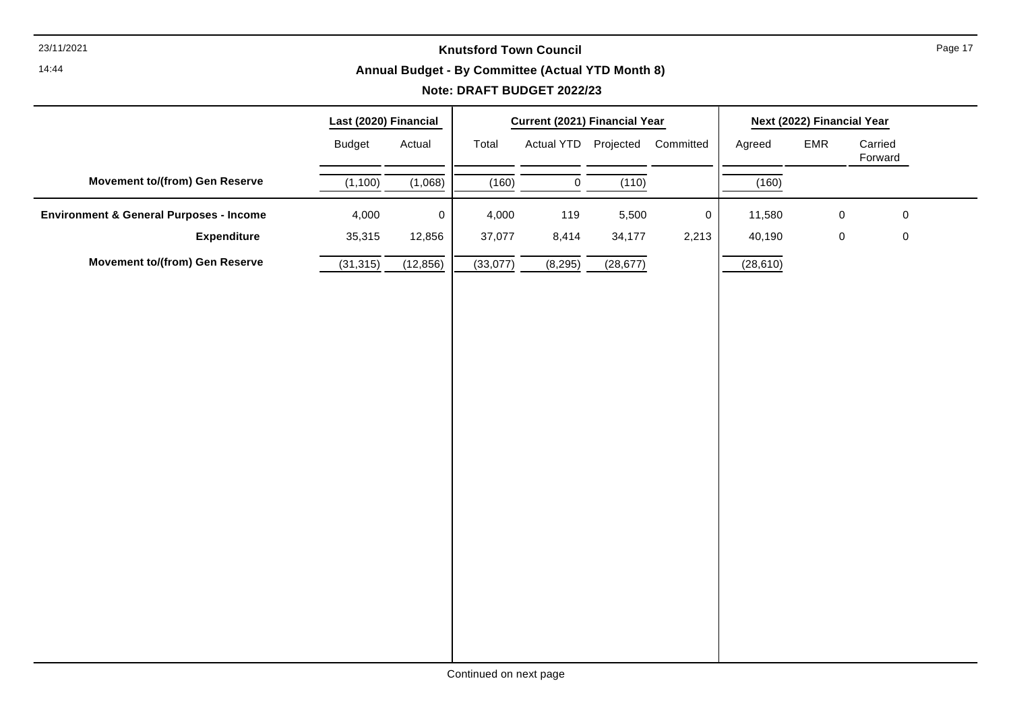14:44

# **Annual Budget - By Committee (Actual YTD Month 8)**

# **Note: DRAFT BUDGET 2022/23**

|                                                    | Last (2020) Financial |           |          | Current (2021) Financial Year |           |                                |           | Next (2022) Financial Year |                    |  |
|----------------------------------------------------|-----------------------|-----------|----------|-------------------------------|-----------|--------------------------------|-----------|----------------------------|--------------------|--|
|                                                    | <b>Budget</b>         | Actual    | Total    |                               |           | Actual YTD Projected Committed | Agreed    | EMR                        | Carried<br>Forward |  |
| <b>Movement to/(from) Gen Reserve</b>              | (1, 100)              | (1,068)   | (160)    | $\mathbf 0$                   | (110)     |                                | (160)     |                            |                    |  |
| <b>Environment &amp; General Purposes - Income</b> | 4,000                 | $\pmb{0}$ | 4,000    | 119                           | 5,500     | $\pmb{0}$                      | 11,580    | $\pmb{0}$                  | $\mathbf 0$        |  |
| <b>Expenditure</b>                                 | 35,315                | 12,856    | 37,077   | 8,414                         | 34,177    | 2,213                          | 40,190    | $\pmb{0}$                  | $\pmb{0}$          |  |
| <b>Movement to/(from) Gen Reserve</b>              | (31, 315)             | (12, 856) | (33,077) | (8, 295)                      | (28, 677) |                                | (28, 610) |                            |                    |  |
|                                                    |                       |           |          |                               |           |                                |           |                            |                    |  |
|                                                    |                       |           |          |                               |           |                                |           |                            |                    |  |
|                                                    |                       |           |          |                               |           |                                |           |                            |                    |  |
|                                                    |                       |           |          |                               |           |                                |           |                            |                    |  |
|                                                    |                       |           |          |                               |           |                                |           |                            |                    |  |
|                                                    |                       |           |          |                               |           |                                |           |                            |                    |  |
|                                                    |                       |           |          |                               |           |                                |           |                            |                    |  |
|                                                    |                       |           |          |                               |           |                                |           |                            |                    |  |
|                                                    |                       |           |          |                               |           |                                |           |                            |                    |  |
|                                                    |                       |           |          |                               |           |                                |           |                            |                    |  |
|                                                    |                       |           |          |                               |           |                                |           |                            |                    |  |
|                                                    |                       |           |          |                               |           |                                |           |                            |                    |  |
|                                                    |                       |           |          |                               |           |                                |           |                            |                    |  |
|                                                    |                       |           |          |                               |           |                                |           |                            |                    |  |
|                                                    |                       |           |          |                               |           |                                |           |                            |                    |  |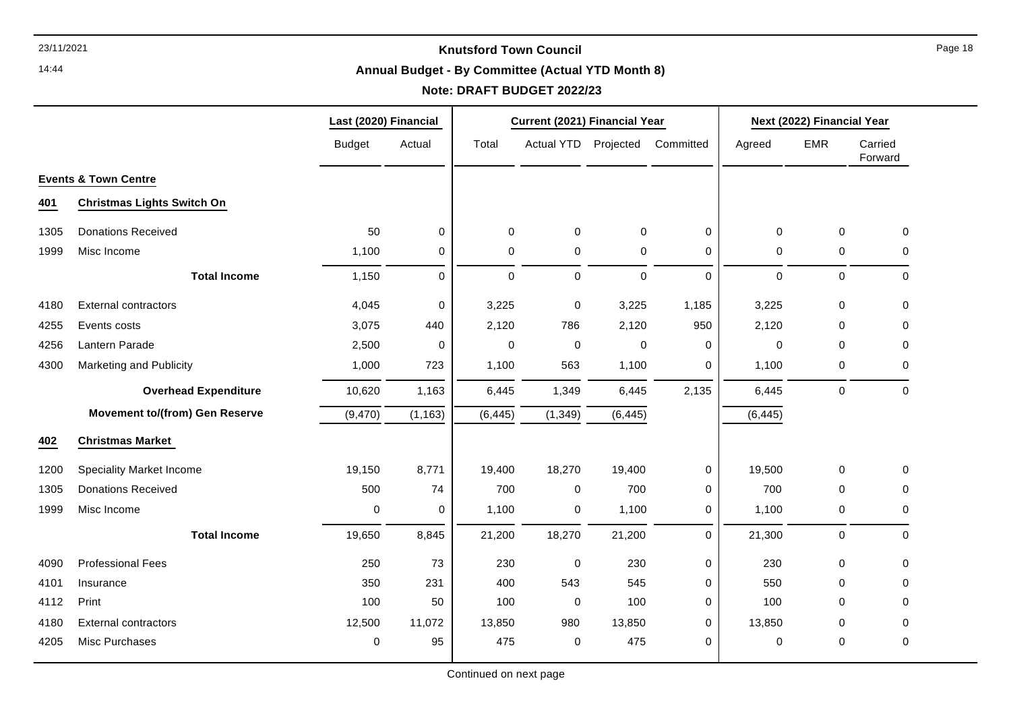14:44

# **Annual Budget - By Committee (Actual YTD Month 8)**

|      |                                       | Last (2020) Financial |             |          | Current (2021) Financial Year |             |              |             | Next (2022) Financial Year |                    |
|------|---------------------------------------|-----------------------|-------------|----------|-------------------------------|-------------|--------------|-------------|----------------------------|--------------------|
|      |                                       | <b>Budget</b>         | Actual      | Total    | <b>Actual YTD</b>             | Projected   | Committed    | Agreed      | <b>EMR</b>                 | Carried<br>Forward |
|      | <b>Events &amp; Town Centre</b>       |                       |             |          |                               |             |              |             |                            |                    |
| 401  | <b>Christmas Lights Switch On</b>     |                       |             |          |                               |             |              |             |                            |                    |
| 1305 | <b>Donations Received</b>             | 50                    | 0           | 0        | 0                             | $\mathbf 0$ | $\mathbf 0$  | $\mathbf 0$ | $\Omega$                   | $\mathbf 0$        |
| 1999 | Misc Income                           | 1,100                 | 0           | 0        | $\pmb{0}$                     | 0           | $\mathbf 0$  | $\mathbf 0$ | $\mathbf 0$                | 0                  |
|      | <b>Total Income</b>                   | 1,150                 | $\mathbf 0$ | 0        | 0                             | $\mathbf 0$ | $\mathbf{0}$ | $\mathbf 0$ | $\mathbf 0$                | $\mathbf 0$        |
| 4180 | <b>External contractors</b>           | 4,045                 | $\mathbf 0$ | 3,225    | $\pmb{0}$                     | 3,225       | 1,185        | 3,225       | $\mathbf 0$                | $\mathbf 0$        |
| 4255 | Events costs                          | 3,075                 | 440         | 2,120    | 786                           | 2,120       | 950          | 2,120       | $\Omega$                   | 0                  |
| 4256 | Lantern Parade                        | 2,500                 | 0           | 0        | $\pmb{0}$                     | 0           | $\mathbf 0$  | 0           | 0                          | 0                  |
| 4300 | Marketing and Publicity               | 1,000                 | 723         | 1,100    | 563                           | 1,100       | 0            | 1,100       | 0                          | 0                  |
|      | <b>Overhead Expenditure</b>           | 10,620                | 1,163       | 6,445    | 1,349                         | 6,445       | 2,135        | 6,445       | 0                          | 0                  |
|      | <b>Movement to/(from) Gen Reserve</b> | (9, 470)              | (1, 163)    | (6, 445) | (1, 349)                      | (6, 445)    |              | (6, 445)    |                            |                    |
| 402  | <b>Christmas Market</b>               |                       |             |          |                               |             |              |             |                            |                    |
| 1200 | <b>Speciality Market Income</b>       | 19,150                | 8,771       | 19,400   | 18,270                        | 19,400      | $\mathbf 0$  | 19,500      | $\Omega$                   | $\mathbf 0$        |
| 1305 | <b>Donations Received</b>             | 500                   | 74          | 700      | 0                             | 700         | 0            | 700         | $\Omega$                   | 0                  |
| 1999 | Misc Income                           | 0                     | 0           | 1,100    | 0                             | 1,100       | 0            | 1,100       | $\mathbf 0$                | 0                  |
|      | <b>Total Income</b>                   | 19,650                | 8,845       | 21,200   | 18,270                        | 21,200      | $\Omega$     | 21,300      | $\mathbf 0$                | $\mathbf 0$        |
| 4090 | <b>Professional Fees</b>              | 250                   | 73          | 230      | $\mathbf 0$                   | 230         | $\mathbf 0$  | 230         | $\Omega$                   | 0                  |
| 4101 | Insurance                             | 350                   | 231         | 400      | 543                           | 545         | 0            | 550         | $\Omega$                   | 0                  |
| 4112 | Print                                 | 100                   | 50          | 100      | $\mathbf 0$                   | 100         | 0            | 100         | $\Omega$                   | $\Omega$           |
| 4180 | <b>External contractors</b>           | 12,500                | 11,072      | 13,850   | 980                           | 13,850      | 0            | 13,850      | 0                          | 0                  |
| 4205 | Misc Purchases                        | 0                     | 95          | 475      | $\pmb{0}$                     | 475         | 0            | $\mathbf 0$ | $\mathbf 0$                | $\mathbf 0$        |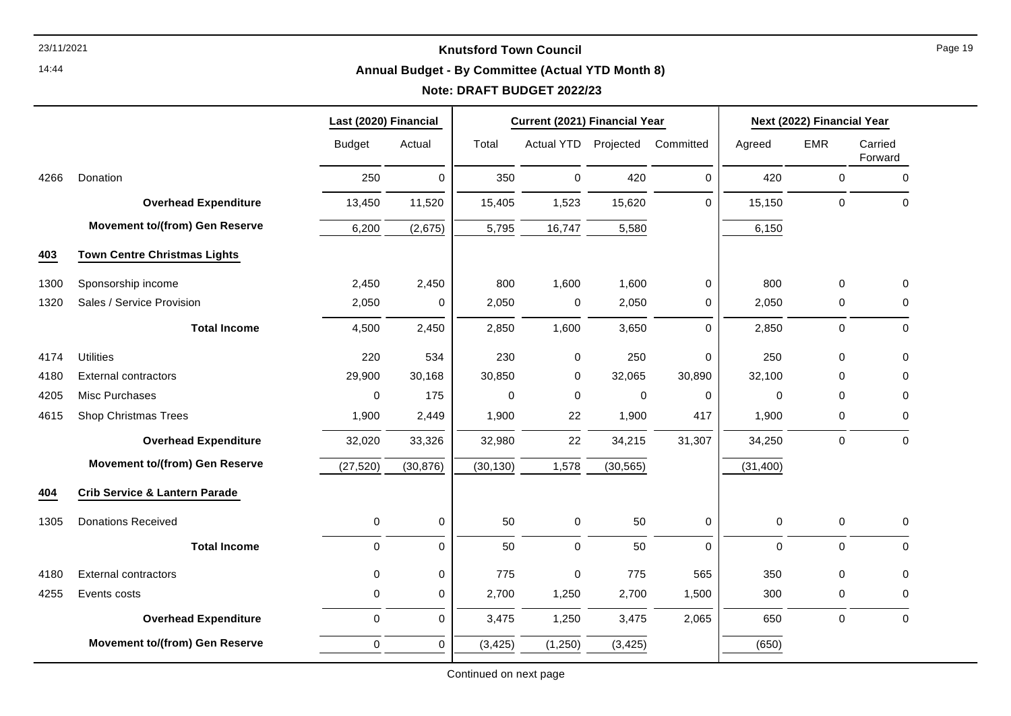14:44

#### **Annual Budget - By Committee (Actual YTD Month 8)**

|      |                                          | Last (2020) Financial |             |             | Current (2021) Financial Year |             |             |             | Next (2022) Financial Year |                    |
|------|------------------------------------------|-----------------------|-------------|-------------|-------------------------------|-------------|-------------|-------------|----------------------------|--------------------|
|      |                                          | <b>Budget</b>         | Actual      | Total       | Actual YTD Projected          |             | Committed   | Agreed      | <b>EMR</b>                 | Carried<br>Forward |
| 4266 | Donation                                 | 250                   | $\mathbf 0$ | 350         | $\pmb{0}$                     | 420         | $\mathbf 0$ | 420         | $\pmb{0}$                  | $\pmb{0}$          |
|      | <b>Overhead Expenditure</b>              | 13,450                | 11,520      | 15,405      | 1,523                         | 15,620      | $\mathbf 0$ | 15,150      | 0                          | $\mathbf 0$        |
|      | <b>Movement to/(from) Gen Reserve</b>    | 6,200                 | (2,675)     | 5,795       | 16,747                        | 5,580       |             | 6,150       |                            |                    |
| 403  | <b>Town Centre Christmas Lights</b>      |                       |             |             |                               |             |             |             |                            |                    |
| 1300 | Sponsorship income                       | 2,450                 | 2,450       | 800         | 1,600                         | 1,600       | 0           | 800         | $\mathbf 0$                | $\mathbf 0$        |
| 1320 | Sales / Service Provision                | 2,050                 | 0           | 2,050       | $\pmb{0}$                     | 2,050       | 0           | 2,050       | $\pmb{0}$                  | $\mathbf 0$        |
|      | <b>Total Income</b>                      | 4,500                 | 2,450       | 2,850       | 1,600                         | 3,650       | 0           | 2,850       | 0                          | $\mathbf 0$        |
| 4174 | <b>Utilities</b>                         | 220                   | 534         | 230         | 0                             | 250         | $\mathbf 0$ | 250         | 0                          | $\Omega$           |
| 4180 | <b>External contractors</b>              | 29,900                | 30,168      | 30,850      | $\mathbf 0$                   | 32,065      | 30,890      | 32,100      | 0                          | 0                  |
| 4205 | Misc Purchases                           | 0                     | 175         | $\mathbf 0$ | $\mathbf 0$                   | $\mathbf 0$ | $\mathbf 0$ | 0           | $\mathbf 0$                | $\Omega$           |
| 4615 | <b>Shop Christmas Trees</b>              | 1,900                 | 2,449       | 1,900       | 22                            | 1,900       | 417         | 1,900       | 0                          | $\Omega$           |
|      | <b>Overhead Expenditure</b>              | 32,020                | 33,326      | 32,980      | 22                            | 34,215      | 31,307      | 34,250      | $\mathbf 0$                | $\mathbf 0$        |
|      | <b>Movement to/(from) Gen Reserve</b>    | (27, 520)             | (30, 876)   | (30, 130)   | 1,578                         | (30, 565)   |             | (31, 400)   |                            |                    |
| 404  | <b>Crib Service &amp; Lantern Parade</b> |                       |             |             |                               |             |             |             |                            |                    |
| 1305 | <b>Donations Received</b>                | 0                     | $\pmb{0}$   | 50          | $\boldsymbol{0}$              | 50          | 0           | 0           | $\mathbf 0$                | 0                  |
|      | <b>Total Income</b>                      | 0                     | $\mathbf 0$ | 50          | $\mathbf 0$                   | 50          | $\Omega$    | $\mathbf 0$ | 0                          | $\mathbf 0$        |
| 4180 | <b>External contractors</b>              | 0                     | $\pmb{0}$   | 775         | $\mathbf 0$                   | 775         | 565         | 350         | $\pmb{0}$                  | 0                  |
| 4255 | Events costs                             | 0                     | $\mathbf 0$ | 2,700       | 1,250                         | 2,700       | 1,500       | 300         | $\mathbf 0$                | $\mathbf 0$        |
|      | <b>Overhead Expenditure</b>              | 0                     | $\pmb{0}$   | 3,475       | 1,250                         | 3,475       | 2,065       | 650         | $\mathsf 0$                | $\pmb{0}$          |
|      | <b>Movement to/(from) Gen Reserve</b>    | $\mathbf 0$           | $\mathbf 0$ | (3, 425)    | (1,250)                       | (3, 425)    |             | (650)       |                            |                    |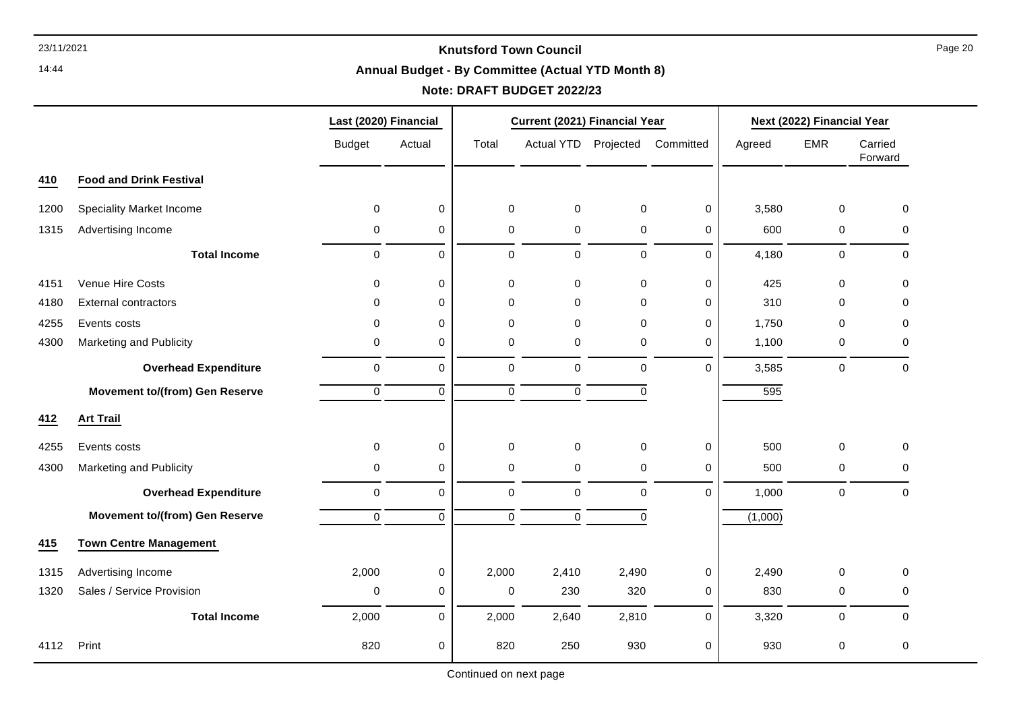14:44

# **Annual Budget - By Committee (Actual YTD Month 8)**

# **Note: DRAFT BUDGET 2022/23**

|      |                                       | Last (2020) Financial |             |             | Current (2021) Financial Year |             |             | Next (2022) Financial Year |             |                    |
|------|---------------------------------------|-----------------------|-------------|-------------|-------------------------------|-------------|-------------|----------------------------|-------------|--------------------|
|      |                                       | <b>Budget</b>         | Actual      | Total       | <b>Actual YTD</b>             | Projected   | Committed   | Agreed                     | <b>EMR</b>  | Carried<br>Forward |
| 410  | <b>Food and Drink Festival</b>        |                       |             |             |                               |             |             |                            |             |                    |
| 1200 | <b>Speciality Market Income</b>       | $\mathbf{0}$          | 0           | $\mathbf 0$ | $\mathbf 0$                   | $\mathbf 0$ | $\Omega$    | 3,580                      | $\mathbf 0$ | $\Omega$           |
| 1315 | Advertising Income                    | 0                     | 0           | 0           | 0                             | 0           | 0           | 600                        | 0           | 0                  |
|      | <b>Total Income</b>                   | $\mathbf 0$           | 0           | $\mathbf 0$ | $\mathsf 0$                   | $\mathbf 0$ | $\Omega$    | 4,180                      | $\mathbf 0$ | 0                  |
| 4151 | Venue Hire Costs                      | $\mathbf{0}$          | 0           | $\mathbf 0$ | $\pmb{0}$                     | $\mathbf 0$ | $\mathbf 0$ | 425                        | $\mathbf 0$ | $\Omega$           |
| 4180 | <b>External contractors</b>           | 0                     | 0           | 0           | 0                             | 0           | 0           | 310                        | $\Omega$    | 0                  |
| 4255 | Events costs                          | 0                     | 0           | $\mathbf 0$ | $\pmb{0}$                     | $\mathbf 0$ | 0           | 1,750                      | $\Omega$    | $\Omega$           |
| 4300 | Marketing and Publicity               | 0                     | 0           | $\mathbf 0$ | $\pmb{0}$                     | 0           | $\Omega$    | 1,100                      | 0           | $\Omega$           |
|      | <b>Overhead Expenditure</b>           | $\mathbf 0$           | 0           | $\mathbf 0$ | $\mathbf 0$                   | $\mathbf 0$ | $\Omega$    | 3,585                      | $\pmb{0}$   | $\mathbf 0$        |
|      | <b>Movement to/(from) Gen Reserve</b> | $\mathbf 0$           | $\mathbf 0$ | $\mathbf 0$ | $\mathbf 0$                   | $\mathbf 0$ |             | 595                        |             |                    |
| 412  | <b>Art Trail</b>                      |                       |             |             |                               |             |             |                            |             |                    |
| 4255 | Events costs                          | $\mathbf 0$           | 0           | $\pmb{0}$   | $\pmb{0}$                     | $\mathbf 0$ | $\mathbf 0$ | 500                        | $\mathbf 0$ | $\pmb{0}$          |
| 4300 | Marketing and Publicity               | 0                     | 0           | 0           | 0                             | 0           | 0           | 500                        | $\mathbf 0$ | 0                  |
|      | <b>Overhead Expenditure</b>           | $\mathbf 0$           | 0           | $\pmb{0}$   | $\mathbf 0$                   | $\mathbf 0$ | $\Omega$    | 1,000                      | $\pmb{0}$   | $\mathbf 0$        |
|      | <b>Movement to/(from) Gen Reserve</b> | $\mathbf 0$           | $\mathbf 0$ | $\mathbf 0$ | $\mathbf 0$                   | 0           |             | (1,000)                    |             |                    |
| 415  | <b>Town Centre Management</b>         |                       |             |             |                               |             |             |                            |             |                    |
| 1315 | Advertising Income                    | 2,000                 | 0           | 2,000       | 2,410                         | 2,490       | 0           | 2,490                      | $\Omega$    | 0                  |
| 1320 | Sales / Service Provision             | 0                     | 0           | 0           | 230                           | 320         | 0           | 830                        | 0           | 0                  |
|      | <b>Total Income</b>                   | 2,000                 | 0           | 2,000       | 2,640                         | 2,810       | $\Omega$    | 3,320                      | $\mathbf 0$ | $\Omega$           |
| 4112 | Print                                 | 820                   | $\mathbf 0$ | 820         | 250                           | 930         | 0           | 930                        | $\mathbf 0$ | 0                  |

Continued on next page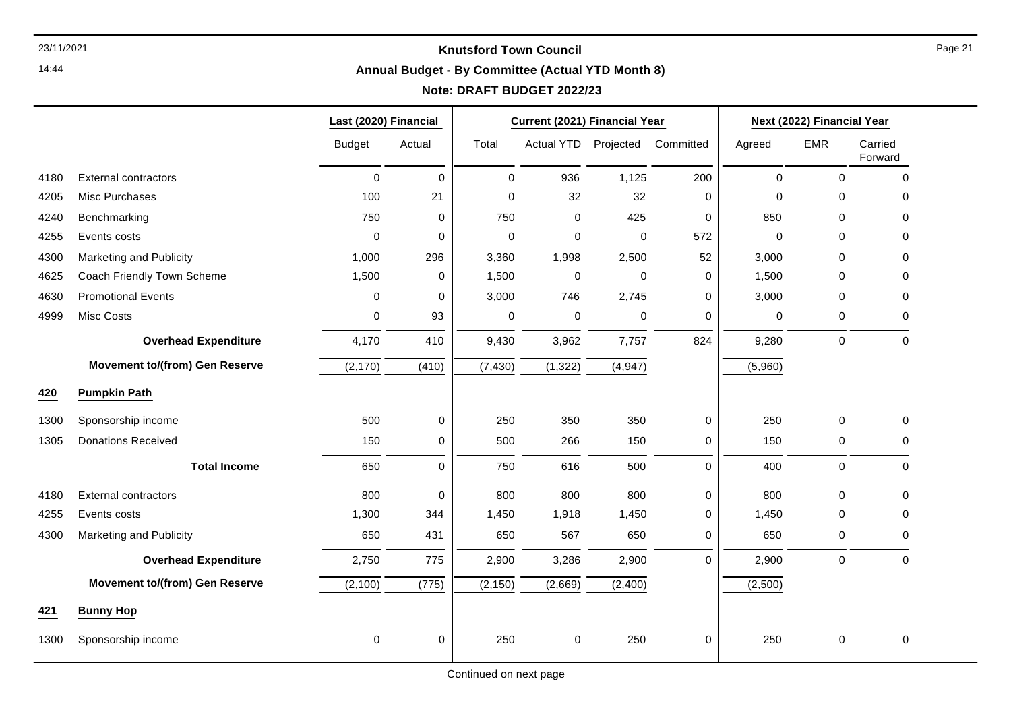14:44

# **Annual Budget - By Committee (Actual YTD Month 8)**

# **Note: DRAFT BUDGET 2022/23**

┯

┯

|      |                                       | Last (2020) Financial |             |             | Current (2021) Financial Year |          |             |             | Next (2022) Financial Year |                    |
|------|---------------------------------------|-----------------------|-------------|-------------|-------------------------------|----------|-------------|-------------|----------------------------|--------------------|
|      |                                       | <b>Budget</b>         | Actual      | Total       | Actual YTD Projected          |          | Committed   | Agreed      | EMR                        | Carried<br>Forward |
| 4180 | <b>External contractors</b>           | $\pmb{0}$             | $\pmb{0}$   | $\pmb{0}$   | 936                           | 1,125    | 200         | $\pmb{0}$   | $\pmb{0}$                  | $\mathbf 0$        |
| 4205 | Misc Purchases                        | 100                   | 21          | $\Omega$    | 32                            | 32       | $\mathbf 0$ | 0           | $\Omega$                   | $\Omega$           |
| 4240 | Benchmarking                          | 750                   | 0           | 750         | $\pmb{0}$                     | 425      | 0           | 850         | $\mathbf{0}$               | 0                  |
| 4255 | Events costs                          | $\mathbf 0$           | $\mathbf 0$ | $\mathbf 0$ | $\mathbf 0$                   | 0        | 572         | $\mathbf 0$ | $\mathbf{0}$               | 0                  |
| 4300 | Marketing and Publicity               | 1,000                 | 296         | 3,360       | 1,998                         | 2,500    | 52          | 3,000       | $\mathbf 0$                | 0                  |
| 4625 | Coach Friendly Town Scheme            | 1,500                 | 0           | 1,500       | $\mathbf 0$                   | 0        | 0           | 1,500       | $\mathbf{0}$               | 0                  |
| 4630 | <b>Promotional Events</b>             | 0                     | 0           | 3,000       | 746                           | 2,745    | 0           | 3,000       | $\Omega$                   | $\Omega$           |
| 4999 | Misc Costs                            | 0                     | 93          | $\pmb{0}$   | $\pmb{0}$                     | 0        | 0           | 0           | $\pmb{0}$                  | 0                  |
|      | <b>Overhead Expenditure</b>           | 4,170                 | 410         | 9,430       | 3,962                         | 7,757    | 824         | 9,280       | $\pmb{0}$                  | $\Omega$           |
|      | <b>Movement to/(from) Gen Reserve</b> | (2, 170)              | (410)       | (7, 430)    | (1, 322)                      | (4, 947) |             | (5,960)     |                            |                    |
| 420  | <b>Pumpkin Path</b>                   |                       |             |             |                               |          |             |             |                            |                    |
| 1300 | Sponsorship income                    | 500                   | $\pmb{0}$   | 250         | 350                           | 350      | $\mathbf 0$ | 250         | $\pmb{0}$                  | 0                  |
| 1305 | <b>Donations Received</b>             | 150                   | 0           | 500         | 266                           | 150      | 0           | 150         | 0                          | 0                  |
|      | <b>Total Income</b>                   | 650                   | $\mathbf 0$ | 750         | 616                           | 500      | $\Omega$    | 400         | $\mathbf 0$                | $\mathbf 0$        |
| 4180 | <b>External contractors</b>           | 800                   | 0           | 800         | 800                           | 800      | 0           | 800         | $\mathbf 0$                | $\mathbf 0$        |
| 4255 | Events costs                          | 1,300                 | 344         | 1,450       | 1,918                         | 1,450    | 0           | 1,450       | $\mathbf 0$                | 0                  |
| 4300 | Marketing and Publicity               | 650                   | 431         | 650         | 567                           | 650      | 0           | 650         | 0                          | 0                  |
|      | <b>Overhead Expenditure</b>           | 2,750                 | 775         | 2,900       | 3,286                         | 2,900    | $\Omega$    | 2,900       | $\pmb{0}$                  | $\Omega$           |
|      | <b>Movement to/(from) Gen Reserve</b> | (2,100)               | (775)       | (2, 150)    | (2,669)                       | (2,400)  |             | (2,500)     |                            |                    |
| 421  | <b>Bunny Hop</b>                      |                       |             |             |                               |          |             |             |                            |                    |
| 1300 | Sponsorship income                    | 0                     | 0           | 250         | 0                             | 250      | 0           | 250         | $\mathbf 0$                | 0                  |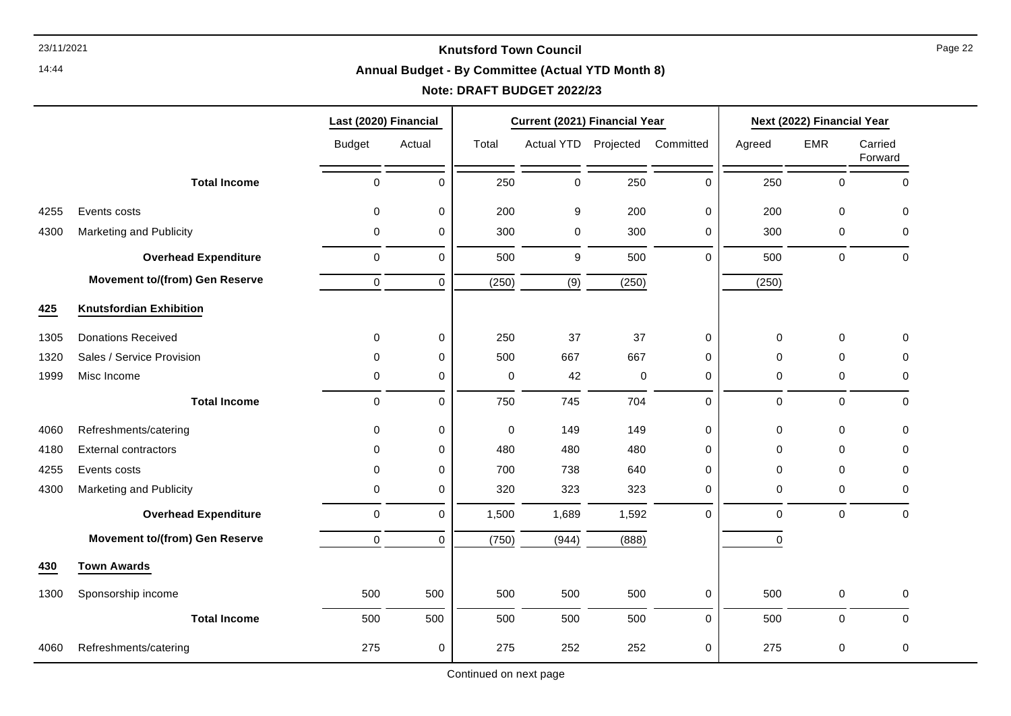14:44

# **Annual Budget - By Committee (Actual YTD Month 8)**

# **Note: DRAFT BUDGET 2022/23**

|      |                                       | Last (2020) Financial |             |           | Current (2021) Financial Year |           |              |        | Next (2022) Financial Year |                    |
|------|---------------------------------------|-----------------------|-------------|-----------|-------------------------------|-----------|--------------|--------|----------------------------|--------------------|
|      |                                       | <b>Budget</b>         | Actual      | Total     | Actual YTD                    | Projected | Committed    | Agreed | <b>EMR</b>                 | Carried<br>Forward |
|      | <b>Total Income</b>                   | $\mathbf 0$           | $\Omega$    | 250       | $\mathbf 0$                   | 250       | $\mathbf 0$  | 250    | 0                          | $\Omega$           |
| 4255 | Events costs                          | $\mathbf 0$           | $\mathbf 0$ | 200       | 9                             | 200       | $\mathbf 0$  | 200    | $\mathbf 0$                | $\Omega$           |
| 4300 | Marketing and Publicity               | 0                     | 0           | 300       | $\mathbf 0$                   | 300       | $\mathbf 0$  | 300    | 0                          | $\Omega$           |
|      | <b>Overhead Expenditure</b>           | $\mathbf 0$           | $\mathbf 0$ | 500       | 9                             | 500       | $\Omega$     | 500    | 0                          | $\mathbf 0$        |
|      | <b>Movement to/(from) Gen Reserve</b> | 0                     | $\mathbf 0$ | (250)     | (9)                           | (250)     |              | (250)  |                            |                    |
| 425  | <b>Knutsfordian Exhibition</b>        |                       |             |           |                               |           |              |        |                            |                    |
| 1305 | <b>Donations Received</b>             | 0                     | $\mathbf 0$ | 250       | 37                            | 37        | $\mathbf 0$  | 0      | 0                          | $\Omega$           |
| 1320 | Sales / Service Provision             | 0                     | 0           | 500       | 667                           | 667       | $\mathbf 0$  | 0      | $\mathbf 0$                | 0                  |
| 1999 | Misc Income                           | $\mathbf 0$           | 0           | $\pmb{0}$ | 42                            | $\pmb{0}$ | 0            | 0      | $\pmb{0}$                  | 0                  |
|      | <b>Total Income</b>                   | $\mathsf 0$           | $\mathbf 0$ | 750       | 745                           | 704       | $\mathbf 0$  | 0      | $\pmb{0}$                  | $\mathbf 0$        |
| 4060 | Refreshments/catering                 | 0                     | 0           | 0         | 149                           | 149       | 0            | 0      | 0                          | 0                  |
| 4180 | <b>External contractors</b>           | 0                     | 0           | 480       | 480                           | 480       | 0            | 0      | 0                          | 0                  |
| 4255 | Events costs                          | 0                     | 0           | 700       | 738                           | 640       | $\mathbf{0}$ | 0      | $\mathbf 0$                | $\Omega$           |
| 4300 | Marketing and Publicity               | 0                     | 0           | 320       | 323                           | 323       | $\mathbf 0$  | 0      | $\mathbf 0$                | $\Omega$           |
|      | <b>Overhead Expenditure</b>           | $\mathbf 0$           | $\mathbf 0$ | 1,500     | 1,689                         | 1,592     | $\mathbf 0$  | 0      | 0                          | $\mathbf 0$        |
|      | <b>Movement to/(from) Gen Reserve</b> | $\mathbf 0$           | $\mathbf 0$ | (750)     | (944)                         | (888)     |              | 0      |                            |                    |
| 430  | <b>Town Awards</b>                    |                       |             |           |                               |           |              |        |                            |                    |
| 1300 | Sponsorship income                    | 500                   | 500         | 500       | 500                           | 500       | $\mathbf 0$  | 500    | $\mathbf 0$                | 0                  |
|      | <b>Total Income</b>                   | 500                   | 500         | 500       | 500                           | 500       | $\mathbf 0$  | 500    | 0                          | $\Omega$           |
| 4060 | Refreshments/catering                 | 275                   | 0           | 275       | 252                           | 252       | $\mathbf 0$  | 275    | $\mathbf 0$                | $\pmb{0}$          |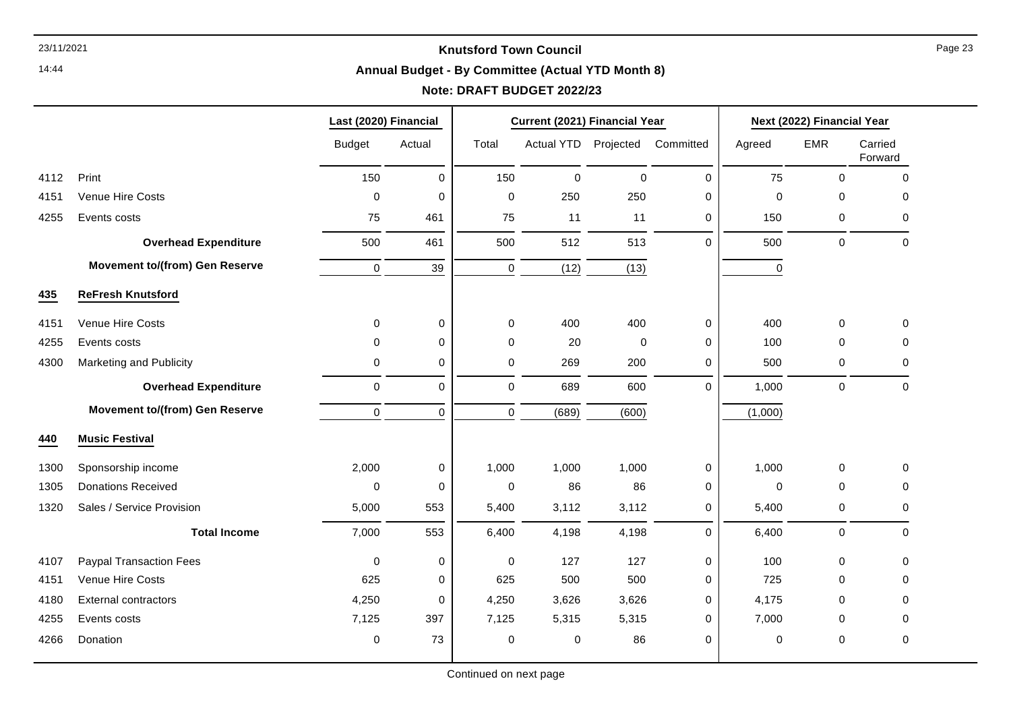14:44

# **Annual Budget - By Committee (Actual YTD Month 8)**

# **Note: DRAFT BUDGET 2022/23**

|      |                                       | Last (2020) Financial |             |             | Current (2021) Financial Year |           |             |             | Next (2022) Financial Year |                    |  |
|------|---------------------------------------|-----------------------|-------------|-------------|-------------------------------|-----------|-------------|-------------|----------------------------|--------------------|--|
|      |                                       | <b>Budget</b>         | Actual      | Total       | Actual YTD Projected          |           | Committed   | Agreed      | <b>EMR</b>                 | Carried<br>Forward |  |
| 4112 | Print                                 | 150                   | 0           | 150         | $\mathbf 0$                   | $\pmb{0}$ | $\mathbf 0$ | 75          | 0                          | $\mathbf 0$        |  |
| 4151 | <b>Venue Hire Costs</b>               | $\mathbf 0$           | 0           | $\mathbf 0$ | 250                           | 250       | $\mathbf 0$ | $\mathbf 0$ | 0                          | $\Omega$           |  |
| 4255 | Events costs                          | 75                    | 461         | 75          | 11                            | 11        | 0           | 150         | 0                          | 0                  |  |
|      | <b>Overhead Expenditure</b>           | 500                   | 461         | 500         | 512                           | 513       | $\Omega$    | 500         | 0                          | $\mathbf 0$        |  |
|      | <b>Movement to/(from) Gen Reserve</b> | $\mathbf 0$           | 39          | $\mathbf 0$ | (12)                          | (13)      |             | $\mathbf 0$ |                            |                    |  |
| 435  | <b>ReFresh Knutsford</b>              |                       |             |             |                               |           |             |             |                            |                    |  |
| 4151 | Venue Hire Costs                      | $\Omega$              | 0           | $\mathbf 0$ | 400                           | 400       | $\mathbf 0$ | 400         | 0                          | $\Omega$           |  |
| 4255 | Events costs                          | $\mathbf 0$           | $\mathbf 0$ | 0           | 20                            | $\pmb{0}$ | $\mathbf 0$ | 100         | $\mathbf 0$                | 0                  |  |
| 4300 | Marketing and Publicity               | $\mathbf 0$           | 0           | $\mathbf 0$ | 269                           | 200       | $\mathbf 0$ | 500         | 0                          | 0                  |  |
|      | <b>Overhead Expenditure</b>           | $\pmb{0}$             | 0           | $\mathbf 0$ | 689                           | 600       | $\mathbf 0$ | 1,000       | $\mathsf 0$                | $\mathbf 0$        |  |
|      | <b>Movement to/(from) Gen Reserve</b> | $\mathbf 0$           | $\mathbf 0$ | $\mathbf 0$ | (689)                         | (600)     |             | (1,000)     |                            |                    |  |
| 440  | <b>Music Festival</b>                 |                       |             |             |                               |           |             |             |                            |                    |  |
| 1300 | Sponsorship income                    | 2,000                 | 0           | 1,000       | 1,000                         | 1,000     | 0           | 1,000       | $\mathbf 0$                | 0                  |  |
| 1305 | <b>Donations Received</b>             | $\mathbf 0$           | 0           | $\mathbf 0$ | 86                            | 86        | 0           | $\mathbf 0$ | 0                          | 0                  |  |
| 1320 | Sales / Service Provision             | 5,000                 | 553         | 5,400       | 3,112                         | 3,112     | 0           | 5,400       | 0                          | 0                  |  |
|      | <b>Total Income</b>                   | 7,000                 | 553         | 6,400       | 4,198                         | 4,198     | $\mathbf 0$ | 6,400       | $\pmb{0}$                  | $\mathbf 0$        |  |
| 4107 | <b>Paypal Transaction Fees</b>        | $\mathbf 0$           | 0           | $\mathbf 0$ | 127                           | 127       | 0           | 100         | 0                          | $\mathbf 0$        |  |
| 4151 | Venue Hire Costs                      | 625                   | 0           | 625         | 500                           | 500       | 0           | 725         | $\mathbf 0$                | 0                  |  |
| 4180 | <b>External contractors</b>           | 4,250                 | 0           | 4,250       | 3,626                         | 3,626     | 0           | 4,175       | $\Omega$                   | $\Omega$           |  |
| 4255 | Events costs                          | 7,125                 | 397         | 7,125       | 5,315                         | 5,315     | $\mathbf 0$ | 7,000       | 0                          | 0                  |  |
| 4266 | Donation                              | $\mathbf 0$           | 73          | 0           | 0                             | 86        | $\mathbf 0$ | 0           | 0                          | 0                  |  |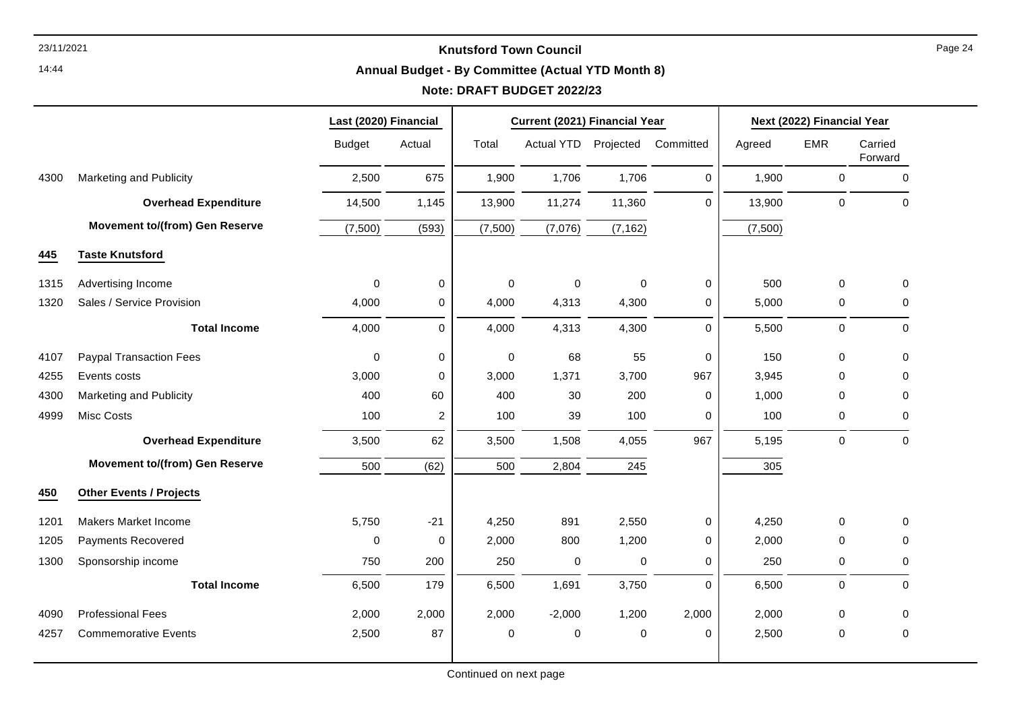14:44

# **Annual Budget - By Committee (Actual YTD Month 8)**

# **Note: DRAFT BUDGET 2022/23**

|      |                                       | Last (2020) Financial |                     |                     | Current (2021) Financial Year |             |             |         | Next (2022) Financial Year |                    |
|------|---------------------------------------|-----------------------|---------------------|---------------------|-------------------------------|-------------|-------------|---------|----------------------------|--------------------|
|      |                                       | <b>Budget</b>         | Actual              | Total               | <b>Actual YTD</b>             | Projected   | Committed   | Agreed  | <b>EMR</b>                 | Carried<br>Forward |
| 4300 | Marketing and Publicity               | 2,500                 | 675                 | 1,900               | 1,706                         | 1,706       | $\mathbf 0$ | 1,900   | $\mathbf 0$                | $\pmb{0}$          |
|      | <b>Overhead Expenditure</b>           | 14,500                | 1,145               | 13,900              | 11,274                        | 11,360      | $\Omega$    | 13,900  | $\mathbf 0$                | $\mathbf 0$        |
|      | <b>Movement to/(from) Gen Reserve</b> | (7,500)               | (593)               | (7,500)             | (7,076)                       | (7, 162)    |             | (7,500) |                            |                    |
| 445  | <b>Taste Knutsford</b>                |                       |                     |                     |                               |             |             |         |                            |                    |
| 1315 | Advertising Income                    | 0                     | 0                   | $\mathsf{O}\xspace$ | $\pmb{0}$                     | $\mathbf 0$ | 0           | 500     | $\mathbf 0$                | 0                  |
| 1320 | Sales / Service Provision             | 4,000                 | 0                   | 4,000               | 4,313                         | 4,300       | 0           | 5,000   | 0                          | 0                  |
|      | <b>Total Income</b>                   | 4,000                 | $\mathsf{O}\xspace$ | 4,000               | 4,313                         | 4,300       | 0           | 5,500   | $\mathbf 0$                | $\pmb{0}$          |
| 4107 | <b>Paypal Transaction Fees</b>        | $\pmb{0}$             | $\mathsf 0$         | $\pmb{0}$           | 68                            | 55          | 0           | 150     | 0                          | 0                  |
| 4255 | Events costs                          | 3,000                 | 0                   | 3,000               | 1,371                         | 3,700       | 967         | 3,945   | 0                          | $\mathbf 0$        |
| 4300 | Marketing and Publicity               | 400                   | 60                  | 400                 | 30                            | 200         | $\mathbf 0$ | 1,000   | 0                          | 0                  |
| 4999 | Misc Costs                            | 100                   | $\overline{c}$      | 100                 | 39                            | 100         | 0           | 100     | 0                          | $\mathbf 0$        |
|      | <b>Overhead Expenditure</b>           | 3,500                 | 62                  | 3,500               | 1,508                         | 4,055       | 967         | 5,195   | $\mathbf 0$                | $\mathbf 0$        |
|      | <b>Movement to/(from) Gen Reserve</b> | 500                   | (62)                | 500                 | 2,804                         | 245         |             | 305     |                            |                    |
| 450  | <b>Other Events / Projects</b>        |                       |                     |                     |                               |             |             |         |                            |                    |
| 1201 | <b>Makers Market Income</b>           | 5,750                 | $-21$               | 4,250               | 891                           | 2,550       | $\mathbf 0$ | 4,250   | 0                          | $\mathbf 0$        |
| 1205 | Payments Recovered                    | $\mathbf 0$           | $\mathbf 0$         | 2,000               | 800                           | 1,200       | $\mathbf 0$ | 2,000   | 0                          | 0                  |
| 1300 | Sponsorship income                    | 750                   | 200                 | 250                 | 0                             | 0           | $\mathbf 0$ | 250     | 0                          | 0                  |
|      | <b>Total Income</b>                   | 6,500                 | 179                 | 6,500               | 1,691                         | 3,750       | 0           | 6,500   | 0                          | $\mathbf 0$        |
| 4090 | <b>Professional Fees</b>              | 2,000                 | 2,000               | 2,000               | $-2,000$                      | 1,200       | 2,000       | 2,000   | 0                          | $\mathbf 0$        |
| 4257 | <b>Commemorative Events</b>           | 2,500                 | 87                  | $\mathbf 0$         | 0                             | $\mathbf 0$ | $\mathbf 0$ | 2,500   | 0                          | $\mathbf 0$        |
|      |                                       |                       |                     |                     |                               |             |             |         |                            |                    |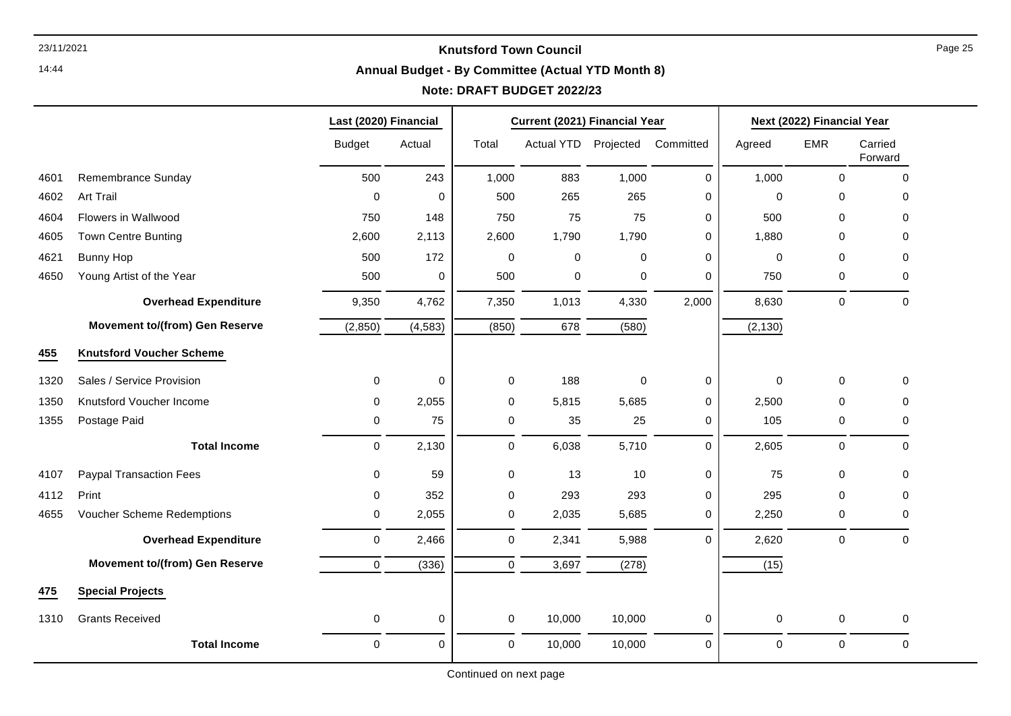14:44

# **Annual Budget - By Committee (Actual YTD Month 8)**

# **Note: DRAFT BUDGET 2022/23**

┯

┯

|      |                                       | Last (2020) Financial |             |             | Current (2021) Financial Year |             | Next (2022) Financial Year |             |             |                    |
|------|---------------------------------------|-----------------------|-------------|-------------|-------------------------------|-------------|----------------------------|-------------|-------------|--------------------|
|      |                                       | <b>Budget</b>         | Actual      | Total       | <b>Actual YTD</b>             | Projected   | Committed                  | Agreed      | <b>EMR</b>  | Carried<br>Forward |
| 4601 | Remembrance Sunday                    | 500                   | 243         | 1,000       | 883                           | 1,000       | 0                          | 1,000       | 0           | 0                  |
| 4602 | Art Trail                             | $\Omega$              | $\mathbf 0$ | 500         | 265                           | 265         | 0                          | $\Omega$    | 0           | 0                  |
| 4604 | Flowers in Wallwood                   | 750                   | 148         | 750         | 75                            | 75          | 0                          | 500         | 0           | 0                  |
| 4605 | <b>Town Centre Bunting</b>            | 2,600                 | 2,113       | 2,600       | 1,790                         | 1,790       | 0                          | 1,880       | 0           | 0                  |
| 4621 | Bunny Hop                             | 500                   | 172         | 0           | $\mathbf 0$                   | $\mathbf 0$ | 0                          | $\mathbf 0$ | 0           | 0                  |
| 4650 | Young Artist of the Year              | 500                   | 0           | 500         | 0                             | $\mathbf 0$ | $\Omega$                   | 750         | 0           | 0                  |
|      | <b>Overhead Expenditure</b>           | 9,350                 | 4,762       | 7,350       | 1,013                         | 4,330       | 2,000                      | 8,630       | 0           | 0                  |
|      | <b>Movement to/(from) Gen Reserve</b> | (2, 850)              | (4, 583)    | (850)       | 678                           | (580)       |                            | (2, 130)    |             |                    |
| 455  | <b>Knutsford Voucher Scheme</b>       |                       |             |             |                               |             |                            |             |             |                    |
| 1320 | Sales / Service Provision             | 0                     | $\mathbf 0$ | 0           | 188                           | $\mathbf 0$ | $\mathbf 0$                | $\mathbf 0$ | 0           | 0                  |
| 1350 | Knutsford Voucher Income              | 0                     | 2,055       | 0           | 5,815                         | 5,685       | 0                          | 2,500       | 0           | 0                  |
| 1355 | Postage Paid                          | 0                     | 75          | 0           | 35                            | 25          | 0                          | 105         | 0           | 0                  |
|      | <b>Total Income</b>                   | $\mathbf 0$           | 2,130       | $\mathbf 0$ | 6,038                         | 5,710       | $\Omega$                   | 2,605       | 0           | $\mathbf 0$        |
| 4107 | <b>Paypal Transaction Fees</b>        | 0                     | 59          | $\mathbf 0$ | 13                            | 10          | $\mathbf 0$                | 75          | 0           | 0                  |
| 4112 | Print                                 | 0                     | 352         | 0           | 293                           | 293         | 0                          | 295         | 0           | 0                  |
| 4655 | Voucher Scheme Redemptions            | 0                     | 2,055       | 0           | 2,035                         | 5,685       | 0                          | 2,250       | 0           | 0                  |
|      | <b>Overhead Expenditure</b>           | $\mathbf 0$           | 2,466       | $\mathbf 0$ | 2,341                         | 5,988       | $\Omega$                   | 2,620       | $\mathbf 0$ | $\mathbf 0$        |
|      | <b>Movement to/(from) Gen Reserve</b> | $\mathbf 0$           | (336)       | $\mathbf 0$ | 3,697                         | (278)       |                            | (15)        |             |                    |
| 475  | <b>Special Projects</b>               |                       |             |             |                               |             |                            |             |             |                    |
| 1310 | <b>Grants Received</b>                | 0                     | $\mathbf 0$ | 0           | 10,000                        | 10,000      | 0                          | $\mathbf 0$ | 0           | 0                  |
|      | <b>Total Income</b>                   | 0                     | $\mathbf 0$ | $\mathbf 0$ | 10,000                        | 10,000      | $\Omega$                   | $\mathbf 0$ | $\mathbf 0$ | $\mathbf 0$        |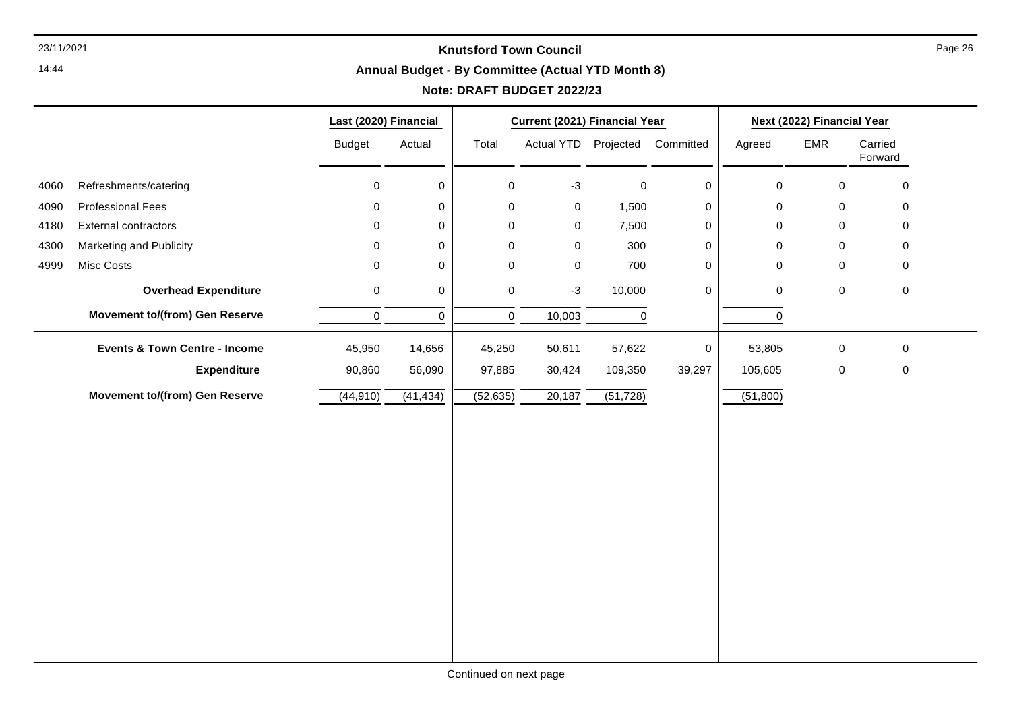14:44

#### **Annual Budget - By Committee (Actual YTD Month 8)**

# **Note: DRAFT BUDGET 2022/23**

|      |                                          | Last (2020) Financial |             |             | Current (2021) Financial Year |           | Next (2022) Financial Year |                     |             |                    |
|------|------------------------------------------|-----------------------|-------------|-------------|-------------------------------|-----------|----------------------------|---------------------|-------------|--------------------|
|      |                                          | <b>Budget</b>         | Actual      | Total       | Actual YTD Projected          |           | Committed                  | Agreed              | EMR         | Carried<br>Forward |
| 4060 | Refreshments/catering                    | $\mathbf 0$           | 0           | $\mathbf 0$ | $-3$                          | $\pmb{0}$ | $\mathbf 0$                | $\mathbf 0$         | $\mathbf 0$ | $\mathbf 0$        |
| 4090 | <b>Professional Fees</b>                 | 0                     | 0           | 0           | $\mathsf{O}\xspace$           | 1,500     | 0                          | $\mathsf{O}\xspace$ | $\mathbf 0$ | $\mathbf 0$        |
| 4180 | External contractors                     | 0                     | 0           | 0           | 0                             | 7,500     | 0                          | $\mathbf 0$         | 0           | $\mathbf 0$        |
| 4300 | Marketing and Publicity                  | 0                     | 0           | 0           | $\mathbf 0$                   | 300       | 0                          | $\pmb{0}$           | $\mathbf 0$ | $\mathbf 0$        |
| 4999 | Misc Costs                               | 0                     | 0           | $\mathbf 0$ | $\mathsf{O}\xspace$           | 700       | 0                          | $\mathsf{O}\xspace$ | $\mathbf 0$ | $\mathbf 0$        |
|      | <b>Overhead Expenditure</b>              | $\mathbf 0$           | $\mathsf 0$ | $\pmb{0}$   | $-3$                          | 10,000    | $\pmb{0}$                  | $\pmb{0}$           | $\mathbf 0$ | $\mathbf 0$        |
|      | <b>Movement to/(from) Gen Reserve</b>    | $\pmb{0}$             | $\mathsf 0$ | $\pmb{0}$   | 10,003                        | 0         |                            | $\pmb{0}$           |             |                    |
|      | <b>Events &amp; Town Centre - Income</b> | 45,950                | 14,656      | 45,250      | 50,611                        | 57,622    | 0                          | 53,805              | $\mathbf 0$ | $\mathbf 0$        |
|      | <b>Expenditure</b>                       | 90,860                | 56,090      | 97,885      | 30,424                        | 109,350   | 39,297                     | 105,605             | $\mathbf 0$ | $\mathbf 0$        |
|      | <b>Movement to/(from) Gen Reserve</b>    | (44, 910)             | (41, 434)   | (52, 635)   | 20,187                        | (51, 728) |                            | (51,800)            |             |                    |
|      |                                          |                       |             |             |                               |           |                            |                     |             |                    |
|      |                                          |                       |             |             |                               |           |                            |                     |             |                    |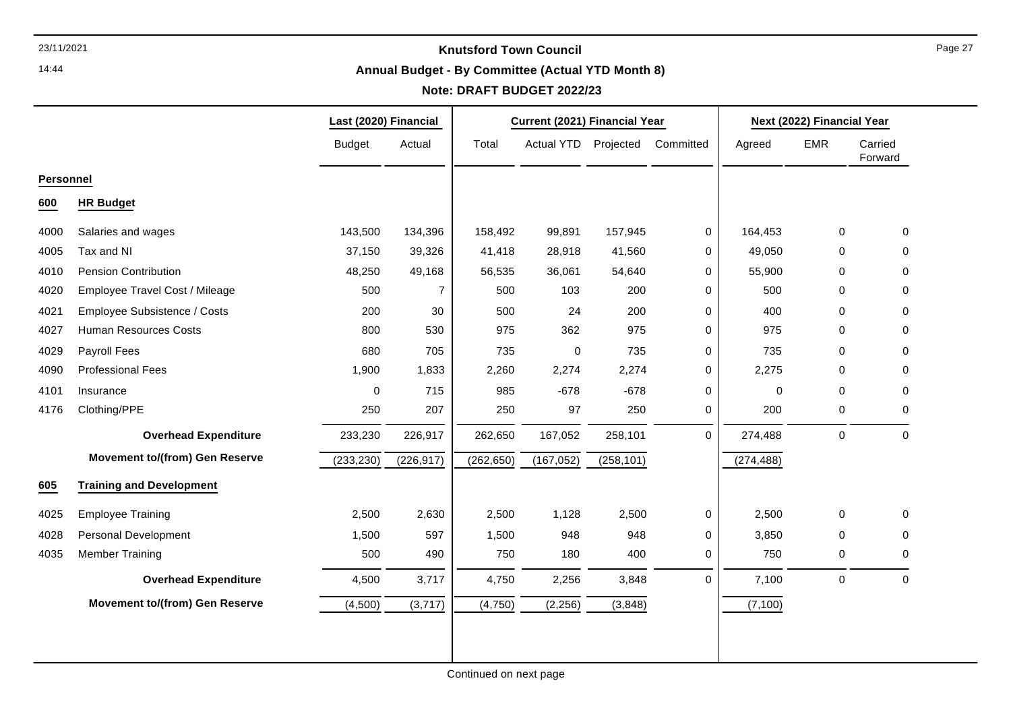14:44

#### **Annual Budget - By Committee (Actual YTD Month 8)**

# **Note: DRAFT BUDGET 2022/23**

|                  |                                       | Last (2020) Financial |                | Current (2021) Financial Year |                      |            | Next (2022) Financial Year |            |             |                    |
|------------------|---------------------------------------|-----------------------|----------------|-------------------------------|----------------------|------------|----------------------------|------------|-------------|--------------------|
|                  |                                       | <b>Budget</b>         | Actual         | Total                         | Actual YTD Projected |            | Committed                  | Agreed     | <b>EMR</b>  | Carried<br>Forward |
| <b>Personnel</b> |                                       |                       |                |                               |                      |            |                            |            |             |                    |
| 600              | <b>HR Budget</b>                      |                       |                |                               |                      |            |                            |            |             |                    |
| 4000             | Salaries and wages                    | 143,500               | 134,396        | 158,492                       | 99,891               | 157,945    | $\mathbf 0$                | 164,453    | $\mathbf 0$ | $\mathbf 0$        |
| 4005             | Tax and NI                            | 37,150                | 39,326         | 41,418                        | 28,918               | 41,560     | 0                          | 49,050     | $\mathbf 0$ | 0                  |
| 4010             | <b>Pension Contribution</b>           | 48,250                | 49,168         | 56,535                        | 36,061               | 54,640     | 0                          | 55,900     | $\Omega$    | $\Omega$           |
| 4020             | Employee Travel Cost / Mileage        | 500                   | $\overline{7}$ | 500                           | 103                  | 200        | 0                          | 500        | $\Omega$    | $\Omega$           |
| 4021             | Employee Subsistence / Costs          | 200                   | 30             | 500                           | 24                   | 200        | 0                          | 400        | $\Omega$    | $\Omega$           |
| 4027             | <b>Human Resources Costs</b>          | 800                   | 530            | 975                           | 362                  | 975        | 0                          | 975        | $\mathbf 0$ | 0                  |
| 4029             | Payroll Fees                          | 680                   | 705            | 735                           | $\mathbf 0$          | 735        | 0                          | 735        | $\Omega$    | $\Omega$           |
| 4090             | <b>Professional Fees</b>              | 1,900                 | 1,833          | 2,260                         | 2,274                | 2,274      | 0                          | 2,275      | $\Omega$    | 0                  |
| 4101             | Insurance                             | $\pmb{0}$             | 715            | 985                           | $-678$               | $-678$     | 0                          | 0          | $\mathbf 0$ | 0                  |
| 4176             | Clothing/PPE                          | 250                   | 207            | 250                           | 97                   | 250        | $\mathbf 0$                | 200        | 0           | 0                  |
|                  | <b>Overhead Expenditure</b>           | 233,230               | 226,917        | 262,650                       | 167,052              | 258,101    | $\mathbf 0$                | 274,488    | 0           | $\mathbf 0$        |
|                  | <b>Movement to/(from) Gen Reserve</b> | (233, 230)            | (226, 917)     | (262, 650)                    | (167, 052)           | (258, 101) |                            | (274, 488) |             |                    |
| 605              | <b>Training and Development</b>       |                       |                |                               |                      |            |                            |            |             |                    |
| 4025             | <b>Employee Training</b>              | 2,500                 | 2,630          | 2,500                         | 1,128                | 2,500      | $\mathbf 0$                | 2,500      | 0           | $\mathbf 0$        |
| 4028             | Personal Development                  | 1,500                 | 597            | 1,500                         | 948                  | 948        | $\mathbf 0$                | 3,850      | $\mathbf 0$ | 0                  |
| 4035             | <b>Member Training</b>                | 500                   | 490            | 750                           | 180                  | 400        | 0                          | 750        | 0           | 0                  |
|                  | <b>Overhead Expenditure</b>           | 4,500                 | 3,717          | 4,750                         | 2,256                | 3,848      | $\mathbf 0$                | 7,100      | $\pmb{0}$   | $\mathbf 0$        |
|                  | <b>Movement to/(from) Gen Reserve</b> | (4,500)               | (3,717)        | (4,750)                       | (2, 256)             | (3,848)    |                            | (7, 100)   |             |                    |
|                  |                                       |                       |                |                               |                      |            |                            |            |             |                    |
|                  |                                       |                       |                |                               |                      |            |                            |            |             |                    |
|                  |                                       |                       |                |                               |                      |            |                            |            |             |                    |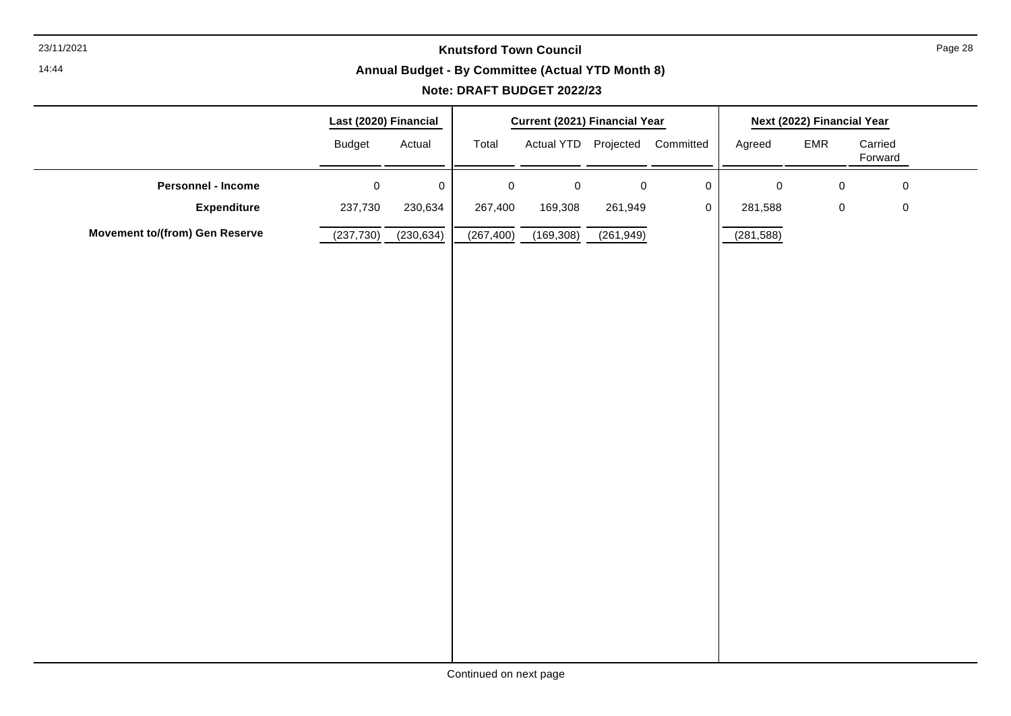14:44

#### **Annual Budget - By Committee (Actual YTD Month 8)**

|                                       | Last (2020) Financial |             |            | <b>Current (2021) Financial Year</b> |           |                                |            | Next (2022) Financial Year |                    |
|---------------------------------------|-----------------------|-------------|------------|--------------------------------------|-----------|--------------------------------|------------|----------------------------|--------------------|
|                                       | <b>Budget</b>         | Actual      | Total      |                                      |           | Actual YTD Projected Committed | Agreed     | EMR                        | Carried<br>Forward |
| Personnel - Income                    | $\mathbf 0$           | $\mathbf 0$ | $\pmb{0}$  | $\mathbf 0$                          | $\pmb{0}$ | $\mathbf 0$                    | $\pmb{0}$  | $\pmb{0}$                  | $\mathbf 0$        |
| <b>Expenditure</b>                    | 237,730               | 230,634     | 267,400    | 169,308                              | 261,949   | $\mathbf 0$                    | 281,588    | $\pmb{0}$                  | $\pmb{0}$          |
| <b>Movement to/(from) Gen Reserve</b> | (237, 730)            | (230, 634)  | (267, 400) | (169, 308)                           | (261,949) |                                | (281, 588) |                            |                    |
|                                       |                       |             |            |                                      |           |                                |            |                            |                    |
|                                       |                       |             |            |                                      |           |                                |            |                            |                    |
|                                       |                       |             |            |                                      |           |                                |            |                            |                    |
|                                       |                       |             |            |                                      |           |                                |            |                            |                    |
|                                       |                       |             |            |                                      |           |                                |            |                            |                    |
|                                       |                       |             |            |                                      |           |                                |            |                            |                    |
|                                       |                       |             |            |                                      |           |                                |            |                            |                    |
|                                       |                       |             |            |                                      |           |                                |            |                            |                    |
|                                       |                       |             |            |                                      |           |                                |            |                            |                    |
|                                       |                       |             |            |                                      |           |                                |            |                            |                    |
|                                       |                       |             |            |                                      |           |                                |            |                            |                    |
|                                       |                       |             |            |                                      |           |                                |            |                            |                    |
|                                       |                       |             |            |                                      |           |                                |            |                            |                    |
|                                       |                       |             |            |                                      |           |                                |            |                            |                    |
|                                       |                       |             |            |                                      |           |                                |            |                            |                    |
|                                       |                       |             |            |                                      |           |                                |            |                            |                    |
|                                       |                       |             |            |                                      |           |                                |            |                            |                    |